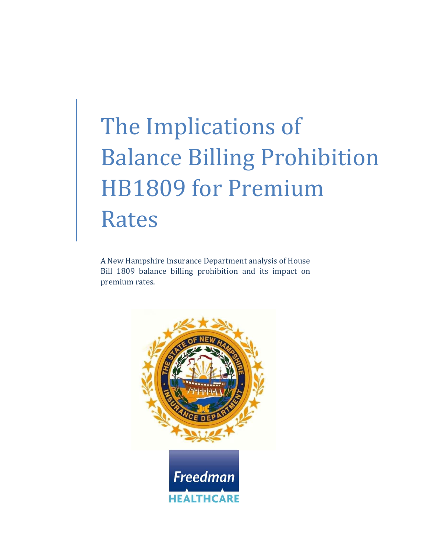# The Implications of Balance Billing Prohibition HB1809 for Premium Rates

A New Hampshire Insurance Department analysis of House Bill 1809 balance billing prohibition and its impact on premium rates.

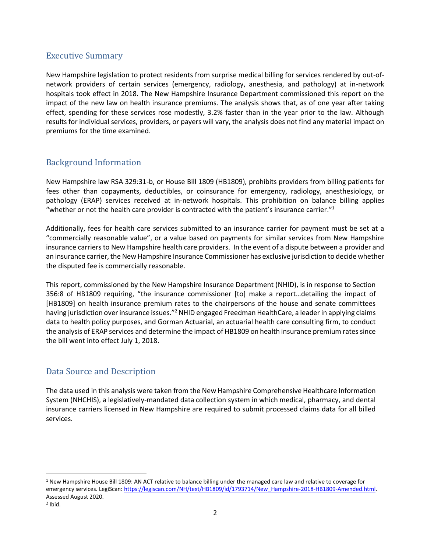#### Executive Summary

New Hampshire legislation to protect residents from surprise medical billing for services rendered by out-ofnetwork providers of certain services (emergency, radiology, anesthesia, and pathology) at in-network hospitals took effect in 2018. The New Hampshire Insurance Department commissioned this report on the impact of the new law on health insurance premiums. The analysis shows that, as of one year after taking effect, spending for these services rose modestly, 3.2% faster than in the year prior to the law. Although results for individual services, providers, or payers will vary, the analysis does not find any material impact on premiums for the time examined.

## Background Information

New Hampshire law RSA 329:31-b, or House Bill 1809 (HB1809), prohibits providers from billing patients for fees other than copayments, deductibles, or coinsurance for emergency, radiology, anesthesiology, or pathology (ERAP) services received at in-network hospitals. This prohibition on balance billing applies "whether or not the health care provider is contracted with the patient's insurance carrier."<sup>1</sup>

Additionally, fees for health care services submitted to an insurance carrier for payment must be set at a "commercially reasonable value", or a value based on payments for similar services from New Hampshire insurance carriers to New Hampshire health care providers. In the event of a dispute between a provider and an insurance carrier, the New Hampshire Insurance Commissioner has exclusive jurisdiction to decide whether the disputed fee is commercially reasonable.

This report, commissioned by the New Hampshire Insurance Department (NHID), is in response to Section 356:8 of HB1809 requiring, "the insurance commissioner [to] make a report…detailing the impact of [HB1809] on health insurance premium rates to the chairpersons of the house and senate committees having jurisdiction over insurance issues."<sup>2</sup> NHID engaged Freedman HealthCare, a leader in applying claims data to health policy purposes, and Gorman Actuarial, an actuarial health care consulting firm, to conduct the analysis of ERAP services and determine the impact of HB1809 on health insurance premium ratessince the bill went into effect July 1, 2018.

# Data Source and Description

The data used in this analysis were taken from the New Hampshire Comprehensive Healthcare Information System (NHCHIS), a legislatively-mandated data collection system in which medical, pharmacy, and dental insurance carriers licensed in New Hampshire are required to submit processed claims data for all billed services.

 $\overline{\phantom{a}}$ 

<sup>1</sup> New Hampshire House Bill 1809: AN ACT relative to balance billing under the managed care law and relative to coverage for emergency services. LegiScan: [https://legiscan.com/NH/text/HB1809/id/1793714/New\\_Hampshire-2018-HB1809-Amended.html.](https://legiscan.com/NH/text/HB1809/id/1793714/New_Hampshire-2018-HB1809-Amended.html) Assessed August 2020.

<sup>2</sup> Ibid.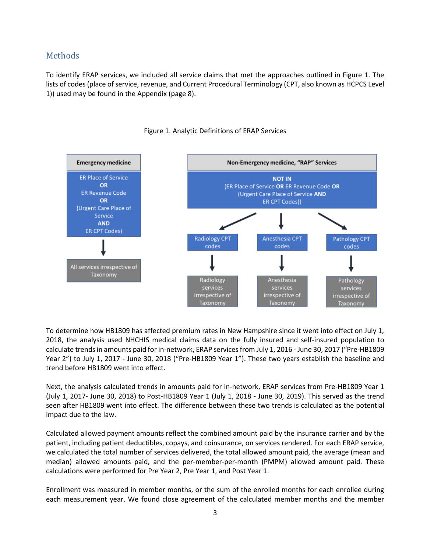#### **Methods**

To identify ERAP services, we included all service claims that met the approaches outlined in Figure 1. The lists of codes (place of service, revenue, and Current Procedural Terminology (CPT, also known as HCPCS Level 1)) used may be found in the Appendix (page 8).



#### Figure 1. Analytic Definitions of ERAP Services

To determine how HB1809 has affected premium rates in New Hampshire since it went into effect on July 1, 2018, the analysis used NHCHIS medical claims data on the fully insured and self-insured population to calculate trends in amounts paid for in-network, ERAP services from July 1, 2016 - June 30, 2017 ("Pre-HB1809 Year 2") to July 1, 2017 - June 30, 2018 ("Pre-HB1809 Year 1"). These two years establish the baseline and trend before HB1809 went into effect.

Next, the analysis calculated trends in amounts paid for in-network, ERAP services from Pre-HB1809 Year 1 (July 1, 2017- June 30, 2018) to Post-HB1809 Year 1 (July 1, 2018 - June 30, 2019). This served as the trend seen after HB1809 went into effect. The difference between these two trends is calculated as the potential impact due to the law.

Calculated allowed payment amounts reflect the combined amount paid by the insurance carrier and by the patient, including patient deductibles, copays, and coinsurance, on services rendered. For each ERAP service, we calculated the total number of services delivered, the total allowed amount paid, the average (mean and median) allowed amounts paid, and the per-member-per-month (PMPM) allowed amount paid. These calculations were performed for Pre Year 2, Pre Year 1, and Post Year 1.

Enrollment was measured in member months, or the sum of the enrolled months for each enrollee during each measurement year. We found close agreement of the calculated member months and the member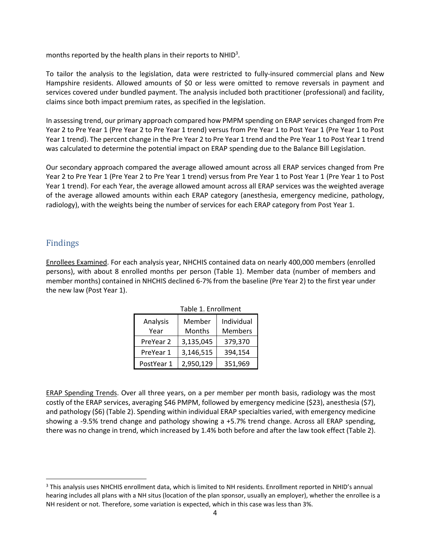months reported by the health plans in their reports to NHID<sup>3</sup>.

To tailor the analysis to the legislation, data were restricted to fully-insured commercial plans and New Hampshire residents. Allowed amounts of \$0 or less were omitted to remove reversals in payment and services covered under bundled payment. The analysis included both practitioner (professional) and facility, claims since both impact premium rates, as specified in the legislation.

In assessing trend, our primary approach compared how PMPM spending on ERAP services changed from Pre Year 2 to Pre Year 1 (Pre Year 2 to Pre Year 1 trend) versus from Pre Year 1 to Post Year 1 (Pre Year 1 to Post Year 1 trend). The percent change in the Pre Year 2 to Pre Year 1 trend and the Pre Year 1 to Post Year 1 trend was calculated to determine the potential impact on ERAP spending due to the Balance Bill Legislation.

Our secondary approach compared the average allowed amount across all ERAP services changed from Pre Year 2 to Pre Year 1 (Pre Year 2 to Pre Year 1 trend) versus from Pre Year 1 to Post Year 1 (Pre Year 1 to Post Year 1 trend). For each Year, the average allowed amount across all ERAP services was the weighted average of the average allowed amounts within each ERAP category (anesthesia, emergency medicine, pathology, radiology), with the weights being the number of services for each ERAP category from Post Year 1.

#### Findings

l

Enrollees Examined. For each analysis year, NHCHIS contained data on nearly 400,000 members (enrolled persons), with about 8 enrolled months per person (Table 1). Member data (number of members and member months) contained in NHCHIS declined 6-7% from the baseline (Pre Year 2) to the first year under the new law (Post Year 1).

|            | Table 1. Enrollment |                |
|------------|---------------------|----------------|
| Analysis   | Member              | Individual     |
| Year       | Months              | <b>Members</b> |
| PreYear 2  | 3,135,045           | 379,370        |
| PreYear 1  | 3,146,515           | 394,154        |
| PostYear 1 | 2,950,129           | 351,969        |

ERAP Spending Trends. Over all three years, on a per member per month basis, radiology was the most costly of the ERAP services, averaging \$46 PMPM, followed by emergency medicine (\$23), anesthesia (\$7), and pathology (\$6) (Table 2). Spending within individual ERAP specialties varied, with emergency medicine showing a -9.5% trend change and pathology showing a +5.7% trend change. Across all ERAP spending, there was no change in trend, which increased by 1.4% both before and after the law took effect (Table 2).

<sup>&</sup>lt;sup>3</sup> This analysis uses NHCHIS enrollment data, which is limited to NH residents. Enrollment reported in NHID's annual hearing includes all plans with a NH situs (location of the plan sponsor, usually an employer), whether the enrollee is a NH resident or not. Therefore, some variation is expected, which in this case was less than 3%.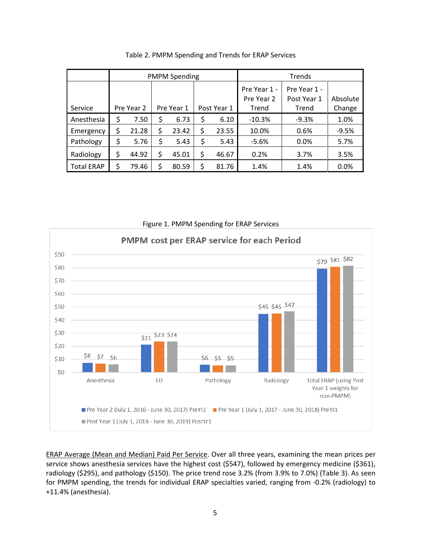|                   | <b>PMPM Spending</b> |       |            |       |             |       | Trends       |              |          |
|-------------------|----------------------|-------|------------|-------|-------------|-------|--------------|--------------|----------|
|                   |                      |       |            |       |             |       | Pre Year 1 - | Pre Year 1 - |          |
|                   |                      |       |            |       |             |       | Pre Year 2   | Post Year 1  | Absolute |
| Service           | Pre Year 2           |       | Pre Year 1 |       | Post Year 1 |       | Trend        | Trend        | Change   |
| Anesthesia        | \$                   | 7.50  | \$         | 6.73  | \$          | 6.10  | $-10.3%$     | $-9.3%$      | 1.0%     |
| Emergency         | \$                   | 21.28 | \$         | 23.42 | \$          | 23.55 | 10.0%        | 0.6%         | $-9.5%$  |
| Pathology         | \$                   | 5.76  | \$         | 5.43  | \$          | 5.43  | $-5.6%$      | 0.0%         | 5.7%     |
| Radiology         | \$                   | 44.92 | \$         | 45.01 | \$          | 46.67 | 0.2%         | 3.7%         | 3.5%     |
| <b>Total ERAP</b> | \$                   | 79.46 | Ś          | 80.59 | \$          | 81.76 | 1.4%         | 1.4%         | 0.0%     |

Table 2. PMPM Spending and Trends for ERAP Services



ERAP Average (Mean and Median) Paid Per Service. Over all three years, examining the mean prices per service shows anesthesia services have the highest cost (\$547), followed by emergency medicine (\$361), radiology (\$295), and pathology (\$150). The price trend rose 3.2% (from 3.9% to 7.0%) (Table 3). As seen for PMPM spending, the trends for individual ERAP specialties varied, ranging from -0.2% (radiology) to +11.4% (anesthesia).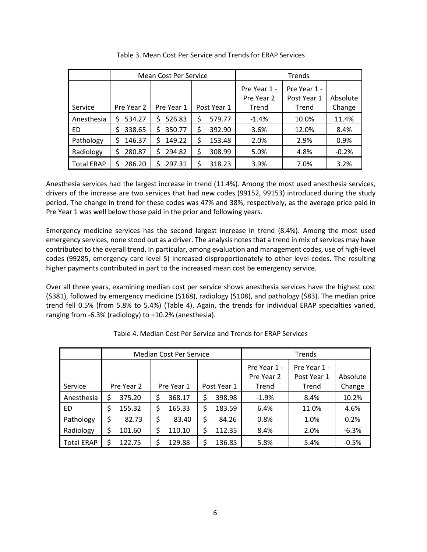|                   |            | <b>Mean Cost Per Service</b> |             |        | Trends       |              |          |
|-------------------|------------|------------------------------|-------------|--------|--------------|--------------|----------|
|                   |            |                              |             |        | Pre Year 1 - | Pre Year 1 - |          |
|                   |            |                              |             |        | Pre Year 2   | Post Year 1  | Absolute |
| Service           | Pre Year 2 | Pre Year 1                   | Post Year 1 |        | Trend        | Trend        | Change   |
| Anesthesia        | 534.27     | 526.83<br>S.                 | \$          | 579.77 | $-1.4%$      | 10.0%        | 11.4%    |
| ED                | 338.65     | 350.77<br>Ś                  | Ś           | 392.90 | 3.6%         | 12.0%        | 8.4%     |
| Pathology         | 146.37     | 149.22<br>Ś                  | Ś           | 153.48 | 2.0%         | 2.9%         | 0.9%     |
| Radiology         | 280.87     | 294.82<br>S.                 | \$          | 308.99 | 5.0%         | 4.8%         | $-0.2%$  |
| <b>Total ERAP</b> | 286.20     | 297.31<br>S.                 |             | 318.23 | 3.9%         | 7.0%         | 3.2%     |

Table 3. Mean Cost Per Service and Trends for ERAP Services

Anesthesia services had the largest increase in trend (11.4%). Among the most used anesthesia services, drivers of the increase are two services that had new codes (99152, 99153) introduced during the study period. The change in trend for these codes was 47% and 38%, respectively, as the average price paid in Pre Year 1 was well below those paid in the prior and following years.

Emergency medicine services has the second largest increase in trend (8.4%). Among the most used emergency services, none stood out as a driver. The analysis notes that a trend in mix of services may have contributed to the overall trend. In particular, among evaluation and management codes, use of high-level codes (99285, emergency care level 5) increased disproportionately to other level codes. The resulting higher payments contributed in part to the increased mean cost be emergency service.

Over all three years, examining median cost per service shows anesthesia services have the highest cost (\$381), followed by emergency medicine (\$168), radiology (\$108), and pathology (\$83). The median price trend fell 0.5% (from 5.8% to 5.4%) (Table 4). Again, the trends for individual ERAP specialties varied, ranging from -6.3% (radiology) to +10.2% (anesthesia).

|                   | <b>Median Cost Per Service</b> |        |            |        |              |              | Trends     |             |          |
|-------------------|--------------------------------|--------|------------|--------|--------------|--------------|------------|-------------|----------|
|                   |                                |        |            |        | Pre Year 1 - | Pre Year 1 - |            |             |          |
|                   |                                |        |            |        |              |              | Pre Year 2 | Post Year 1 | Absolute |
| Service           | Pre Year 2                     |        | Pre Year 1 |        | Post Year 1  |              | Trend      | Trend       | Change   |
| Anesthesia        | \$                             | 375.20 |            | 368.17 |              | 398.98       | $-1.9%$    | 8.4%        | 10.2%    |
| ED                | \$                             | 155.32 | \$         | 165.33 | \$           | 183.59       | 6.4%       | 11.0%       | 4.6%     |
| Pathology         | \$                             | 82.73  |            | 83.40  |              | 84.26        | 0.8%       | 1.0%        | 0.2%     |
| Radiology         |                                | 101.60 |            | 110.10 |              | 112.35       | 8.4%       | 2.0%        | $-6.3%$  |
| <b>Total ERAP</b> | \$                             | 122.75 |            | 129.88 |              | 136.85       | 5.8%       | 5.4%        | $-0.5%$  |

Table 4. Median Cost Per Service and Trends for ERAP Services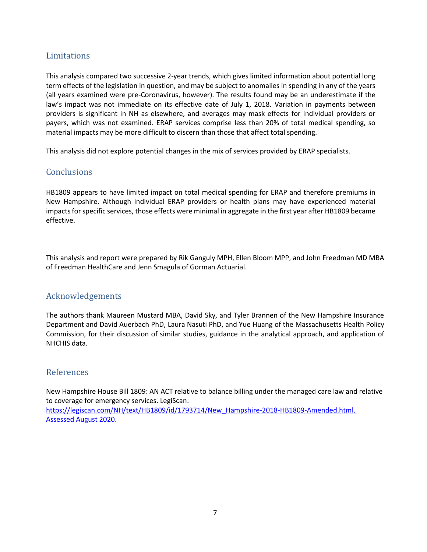## Limitations

This analysis compared two successive 2-year trends, which gives limited information about potential long term effects of the legislation in question, and may be subject to anomalies in spending in any of the years (all years examined were pre-Coronavirus, however). The results found may be an underestimate if the law's impact was not immediate on its effective date of July 1, 2018. Variation in payments between providers is significant in NH as elsewhere, and averages may mask effects for individual providers or payers, which was not examined. ERAP services comprise less than 20% of total medical spending, so material impacts may be more difficult to discern than those that affect total spending.

This analysis did not explore potential changes in the mix of services provided by ERAP specialists.

# **Conclusions**

HB1809 appears to have limited impact on total medical spending for ERAP and therefore premiums in New Hampshire. Although individual ERAP providers or health plans may have experienced material impacts for specific services, those effects were minimal in aggregate in the first year after HB1809 became effective.

This analysis and report were prepared by Rik Ganguly MPH, Ellen Bloom MPP, and John Freedman MD MBA of Freedman HealthCare and Jenn Smagula of Gorman Actuarial.

## Acknowledgements

The authors thank Maureen Mustard MBA, David Sky, and Tyler Brannen of the New Hampshire Insurance Department and David Auerbach PhD, Laura Nasuti PhD, and Yue Huang of the Massachusetts Health Policy Commission, for their discussion of similar studies, guidance in the analytical approach, and application of NHCHIS data.

#### References

New Hampshire House Bill 1809: AN ACT relative to balance billing under the managed care law and relative to coverage for emergency services. LegiScan: [https://legiscan.com/NH/text/HB1809/id/1793714/New\\_Hampshire-2018-HB1809-Amended.html.](https://legiscan.com/NH/text/HB1809/id/1793714/New_Hampshire-2018-HB1809-Amended.html.%20Assessed%20August%202020)  [Assessed August 2020.](https://legiscan.com/NH/text/HB1809/id/1793714/New_Hampshire-2018-HB1809-Amended.html.%20Assessed%20August%202020)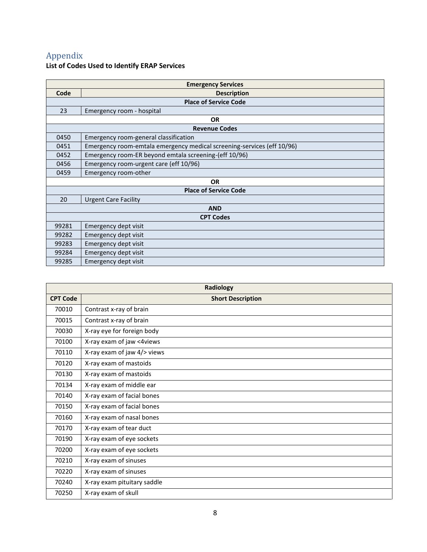# Appendix

#### **List of Codes Used to Identify ERAP Services**

| <b>Emergency Services</b> |                                                                        |  |  |
|---------------------------|------------------------------------------------------------------------|--|--|
| Code                      | <b>Description</b>                                                     |  |  |
|                           | <b>Place of Service Code</b>                                           |  |  |
| 23                        | Emergency room - hospital                                              |  |  |
|                           | <b>OR</b>                                                              |  |  |
|                           | <b>Revenue Codes</b>                                                   |  |  |
| 0450                      | Emergency room-general classification                                  |  |  |
| 0451                      | Emergency room-emtala emergency medical screening-services (eff 10/96) |  |  |
| 0452                      | Emergency room-ER beyond emtala screening-(eff 10/96)                  |  |  |
| 0456                      | Emergency room-urgent care (eff 10/96)                                 |  |  |
| 0459                      | Emergency room-other                                                   |  |  |
|                           | <b>OR</b>                                                              |  |  |
|                           | <b>Place of Service Code</b>                                           |  |  |
| 20                        | <b>Urgent Care Facility</b>                                            |  |  |
|                           | <b>AND</b>                                                             |  |  |
|                           | <b>CPT Codes</b>                                                       |  |  |
| 99281                     | Emergency dept visit                                                   |  |  |
| 99282                     | Emergency dept visit                                                   |  |  |
| 99283                     | Emergency dept visit                                                   |  |  |
| 99284                     | Emergency dept visit                                                   |  |  |
| 99285                     | Emergency dept visit                                                   |  |  |

| Radiology       |                             |  |  |
|-----------------|-----------------------------|--|--|
| <b>CPT Code</b> | <b>Short Description</b>    |  |  |
| 70010           | Contrast x-ray of brain     |  |  |
| 70015           | Contrast x-ray of brain     |  |  |
| 70030           | X-ray eye for foreign body  |  |  |
| 70100           | X-ray exam of jaw <4views   |  |  |
| 70110           | X-ray exam of jaw 4/> views |  |  |
| 70120           | X-ray exam of mastoids      |  |  |
| 70130           | X-ray exam of mastoids      |  |  |
| 70134           | X-ray exam of middle ear    |  |  |
| 70140           | X-ray exam of facial bones  |  |  |
| 70150           | X-ray exam of facial bones  |  |  |
| 70160           | X-ray exam of nasal bones   |  |  |
| 70170           | X-ray exam of tear duct     |  |  |
| 70190           | X-ray exam of eye sockets   |  |  |
| 70200           | X-ray exam of eye sockets   |  |  |
| 70210           | X-ray exam of sinuses       |  |  |
| 70220           | X-ray exam of sinuses       |  |  |
| 70240           | X-ray exam pituitary saddle |  |  |
| 70250           | X-ray exam of skull         |  |  |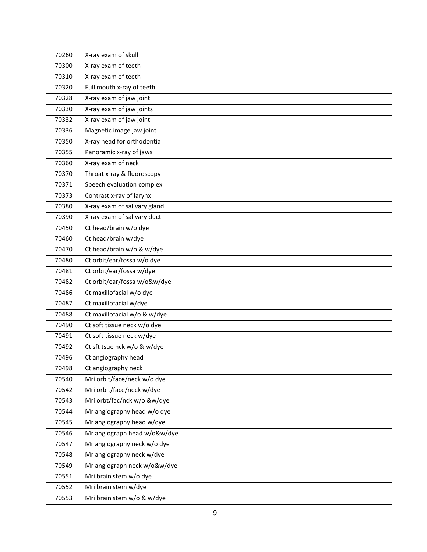| 70260 | X-ray exam of skull          |
|-------|------------------------------|
| 70300 | X-ray exam of teeth          |
| 70310 | X-ray exam of teeth          |
| 70320 | Full mouth x-ray of teeth    |
| 70328 | X-ray exam of jaw joint      |
| 70330 | X-ray exam of jaw joints     |
| 70332 | X-ray exam of jaw joint      |
| 70336 | Magnetic image jaw joint     |
| 70350 | X-ray head for orthodontia   |
| 70355 | Panoramic x-ray of jaws      |
| 70360 | X-ray exam of neck           |
| 70370 | Throat x-ray & fluoroscopy   |
| 70371 | Speech evaluation complex    |
| 70373 | Contrast x-ray of larynx     |
| 70380 | X-ray exam of salivary gland |
| 70390 | X-ray exam of salivary duct  |
| 70450 | Ct head/brain w/o dye        |
| 70460 | Ct head/brain w/dye          |
| 70470 | Ct head/brain w/o & w/dye    |
| 70480 | Ct orbit/ear/fossa w/o dye   |
| 70481 | Ct orbit/ear/fossa w/dye     |
| 70482 | Ct orbit/ear/fossa w/o&w/dye |
| 70486 | Ct maxillofacial w/o dye     |
| 70487 | Ct maxillofacial w/dye       |
| 70488 | Ct maxillofacial w/o & w/dye |
| 70490 | Ct soft tissue neck w/o dye  |
| 70491 | Ct soft tissue neck w/dye    |
| 70492 | Ct sft tsue nck w/o & w/dye  |
| 70496 | Ct angiography head          |
| 70498 | Ct angiography neck          |
| 70540 | Mri orbit/face/neck w/o dye  |
| 70542 | Mri orbit/face/neck w/dye    |
| 70543 | Mri orbt/fac/nck w/o &w/dye  |
| 70544 | Mr angiography head w/o dye  |
| 70545 | Mr angiography head w/dye    |
| 70546 | Mr angiograph head w/o&w/dye |
| 70547 | Mr angiography neck w/o dye  |
| 70548 | Mr angiography neck w/dye    |
| 70549 | Mr angiograph neck w/o&w/dye |
| 70551 | Mri brain stem w/o dye       |
| 70552 | Mri brain stem w/dye         |
| 70553 | Mri brain stem w/o & w/dye   |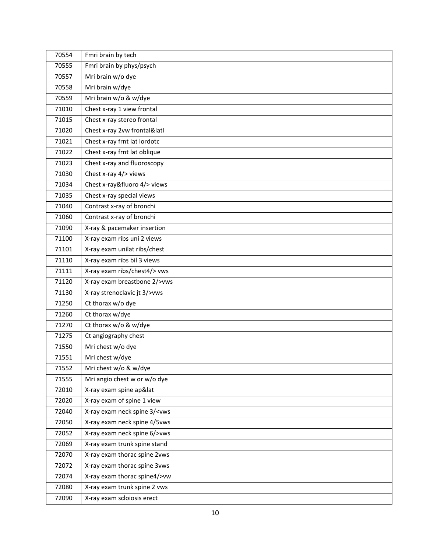| 70554 | Fmri brain by tech                           |
|-------|----------------------------------------------|
| 70555 | Fmri brain by phys/psych                     |
| 70557 | Mri brain w/o dye                            |
| 70558 | Mri brain w/dye                              |
| 70559 | Mri brain w/o & w/dye                        |
| 71010 | Chest x-ray 1 view frontal                   |
| 71015 | Chest x-ray stereo frontal                   |
| 71020 | Chest x-ray 2vw frontal&latl                 |
| 71021 | Chest x-ray frnt lat lordotc                 |
| 71022 | Chest x-ray frnt lat oblique                 |
| 71023 | Chest x-ray and fluoroscopy                  |
| 71030 | Chest x-ray 4/> views                        |
| 71034 | Chest x-ray&fluoro 4/> views                 |
| 71035 | Chest x-ray special views                    |
| 71040 | Contrast x-ray of bronchi                    |
| 71060 | Contrast x-ray of bronchi                    |
| 71090 | X-ray & pacemaker insertion                  |
| 71100 | X-ray exam ribs uni 2 views                  |
| 71101 | X-ray exam unilat ribs/chest                 |
| 71110 | X-ray exam ribs bil 3 views                  |
| 71111 | X-ray exam ribs/chest4/> vws                 |
| 71120 | X-ray exam breastbone 2/>vws                 |
| 71130 | X-ray strenoclavic jt 3/>vws                 |
| 71250 | Ct thorax w/o dye                            |
| 71260 | Ct thorax w/dye                              |
| 71270 | Ct thorax w/o & w/dye                        |
| 71275 | Ct angiography chest                         |
| 71550 | Mri chest w/o dye                            |
| 71551 | Mri chest w/dye                              |
| 71552 | Mri chest w/o & w/dye                        |
| 71555 | Mri angio chest w or w/o dye                 |
| 72010 | X-ray exam spine ap⪫                         |
| 72020 | X-ray exam of spine 1 view                   |
| 72040 | X-ray exam neck spine 3/ <vws< td=""></vws<> |
| 72050 | X-ray exam neck spine 4/5vws                 |
| 72052 | X-ray exam neck spine 6/>vws                 |
| 72069 | X-ray exam trunk spine stand                 |
| 72070 | X-ray exam thorac spine 2vws                 |
| 72072 | X-ray exam thorac spine 3vws                 |
| 72074 | X-ray exam thorac spine4/>vw                 |
| 72080 | X-ray exam trunk spine 2 vws                 |
| 72090 | X-ray exam scloiosis erect                   |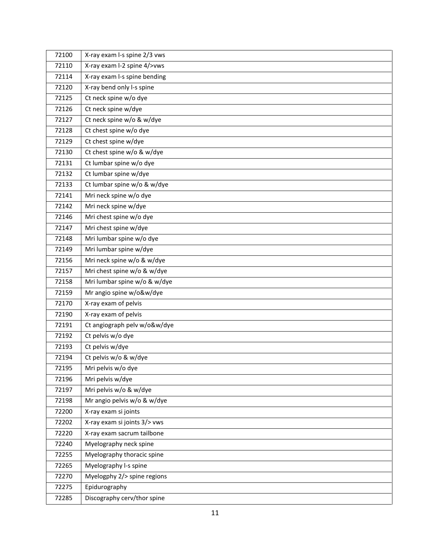| 72100 | X-ray exam I-s spine 2/3 vws |
|-------|------------------------------|
| 72110 | X-ray exam I-2 spine 4/>vws  |
| 72114 | X-ray exam I-s spine bending |
| 72120 | X-ray bend only l-s spine    |
| 72125 | Ct neck spine w/o dye        |
| 72126 | Ct neck spine w/dye          |
| 72127 | Ct neck spine w/o & w/dye    |
| 72128 | Ct chest spine w/o dye       |
| 72129 | Ct chest spine w/dye         |
| 72130 | Ct chest spine w/o & w/dye   |
| 72131 | Ct lumbar spine w/o dye      |
| 72132 | Ct lumbar spine w/dye        |
| 72133 | Ct lumbar spine w/o & w/dye  |
| 72141 | Mri neck spine w/o dye       |
| 72142 | Mri neck spine w/dye         |
| 72146 | Mri chest spine w/o dye      |
| 72147 | Mri chest spine w/dye        |
| 72148 | Mri lumbar spine w/o dye     |
| 72149 | Mri lumbar spine w/dye       |
| 72156 | Mri neck spine w/o & w/dye   |
| 72157 | Mri chest spine w/o & w/dye  |
| 72158 | Mri lumbar spine w/o & w/dye |
| 72159 | Mr angio spine w/o&w/dye     |
| 72170 | X-ray exam of pelvis         |
| 72190 | X-ray exam of pelvis         |
| 72191 | Ct angiograph pelv w/o&w/dye |
| 72192 | Ct pelvis w/o dye            |
| 72193 | Ct pelvis w/dye              |
| 72194 | Ct pelvis w/o & w/dye        |
| 72195 | Mri pelvis w/o dye           |
| 72196 | Mri pelvis w/dye             |
| 72197 | Mri pelvis w/o & w/dye       |
| 72198 | Mr angio pelvis w/o & w/dye  |
| 72200 | X-ray exam si joints         |
| 72202 | X-ray exam si joints 3/> vws |
| 72220 | X-ray exam sacrum tailbone   |
| 72240 | Myelography neck spine       |
| 72255 | Myelography thoracic spine   |
| 72265 | Myelography I-s spine        |
| 72270 | Myelogphy 2/> spine regions  |
| 72275 | Epidurography                |
| 72285 | Discography cerv/thor spine  |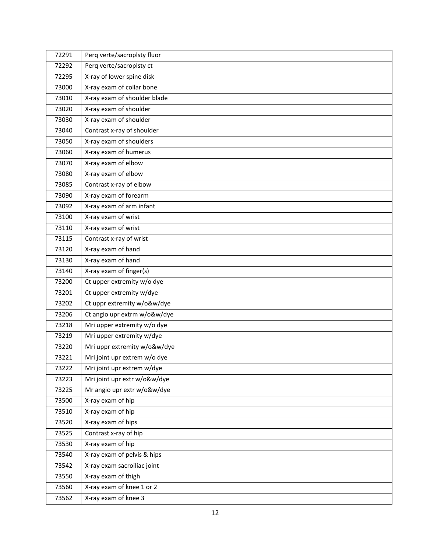| 72291 | Perq verte/sacroplsty fluor  |
|-------|------------------------------|
| 72292 | Perq verte/sacroplsty ct     |
| 72295 | X-ray of lower spine disk    |
| 73000 | X-ray exam of collar bone    |
| 73010 | X-ray exam of shoulder blade |
| 73020 | X-ray exam of shoulder       |
| 73030 | X-ray exam of shoulder       |
| 73040 | Contrast x-ray of shoulder   |
| 73050 | X-ray exam of shoulders      |
| 73060 | X-ray exam of humerus        |
| 73070 | X-ray exam of elbow          |
| 73080 | X-ray exam of elbow          |
| 73085 | Contrast x-ray of elbow      |
| 73090 | X-ray exam of forearm        |
| 73092 | X-ray exam of arm infant     |
| 73100 | X-ray exam of wrist          |
| 73110 | X-ray exam of wrist          |
| 73115 | Contrast x-ray of wrist      |
| 73120 | X-ray exam of hand           |
| 73130 | X-ray exam of hand           |
| 73140 | X-ray exam of finger(s)      |
| 73200 | Ct upper extremity w/o dye   |
| 73201 | Ct upper extremity w/dye     |
| 73202 | Ct uppr extremity w/o&w/dye  |
| 73206 | Ct angio upr extrm w/o&w/dye |
| 73218 | Mri upper extremity w/o dye  |
| 73219 | Mri upper extremity w/dye    |
| 73220 | Mri uppr extremity w/o&w/dye |
| 73221 | Mri joint upr extrem w/o dye |
| 73222 | Mri joint upr extrem w/dye   |
| 73223 | Mri joint upr extr w/o&w/dye |
| 73225 | Mr angio upr extr w/o&w/dye  |
| 73500 | X-ray exam of hip            |
| 73510 | X-ray exam of hip            |
| 73520 | X-ray exam of hips           |
| 73525 | Contrast x-ray of hip        |
| 73530 | X-ray exam of hip            |
| 73540 | X-ray exam of pelvis & hips  |
| 73542 | X-ray exam sacroiliac joint  |
| 73550 | X-ray exam of thigh          |
| 73560 | X-ray exam of knee 1 or 2    |
| 73562 | X-ray exam of knee 3         |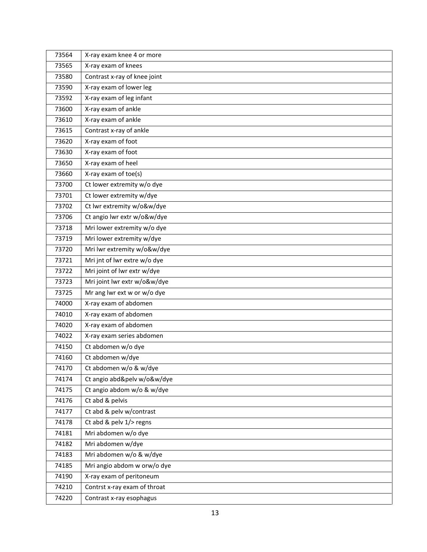| 73564 | X-ray exam knee 4 or more    |
|-------|------------------------------|
| 73565 | X-ray exam of knees          |
| 73580 | Contrast x-ray of knee joint |
| 73590 | X-ray exam of lower leg      |
| 73592 | X-ray exam of leg infant     |
| 73600 | X-ray exam of ankle          |
| 73610 | X-ray exam of ankle          |
| 73615 | Contrast x-ray of ankle      |
| 73620 | X-ray exam of foot           |
| 73630 | X-ray exam of foot           |
| 73650 | X-ray exam of heel           |
| 73660 | X-ray exam of toe(s)         |
| 73700 | Ct lower extremity w/o dye   |
| 73701 | Ct lower extremity w/dye     |
| 73702 | Ct lwr extremity w/o&w/dye   |
| 73706 | Ct angio lwr extr w/o&w/dye  |
| 73718 | Mri lower extremity w/o dye  |
| 73719 | Mri lower extremity w/dye    |
| 73720 | Mri lwr extremity w/o&w/dye  |
| 73721 | Mri jnt of lwr extre w/o dye |
| 73722 | Mri joint of Iwr extr w/dye  |
| 73723 | Mri joint lwr extr w/o&w/dye |
| 73725 | Mr ang lwr ext w or w/o dye  |
| 74000 | X-ray exam of abdomen        |
| 74010 | X-ray exam of abdomen        |
| 74020 | X-ray exam of abdomen        |
| 74022 | X-ray exam series abdomen    |
| 74150 | Ct abdomen w/o dye           |
| 74160 | Ct abdomen w/dye             |
| 74170 | Ct abdomen w/o & w/dye       |
| 74174 | Ct angio abd&pelv w/o&w/dye  |
| 74175 | Ct angio abdom w/o & w/dye   |
| 74176 | Ct abd & pelvis              |
| 74177 | Ct abd & pelv w/contrast     |
| 74178 | Ct abd & pelv 1/> regns      |
| 74181 | Mri abdomen w/o dye          |
| 74182 | Mri abdomen w/dye            |
| 74183 | Mri abdomen w/o & w/dye      |
| 74185 | Mri angio abdom w orw/o dye  |
| 74190 | X-ray exam of peritoneum     |
| 74210 | Contrst x-ray exam of throat |
| 74220 | Contrast x-ray esophagus     |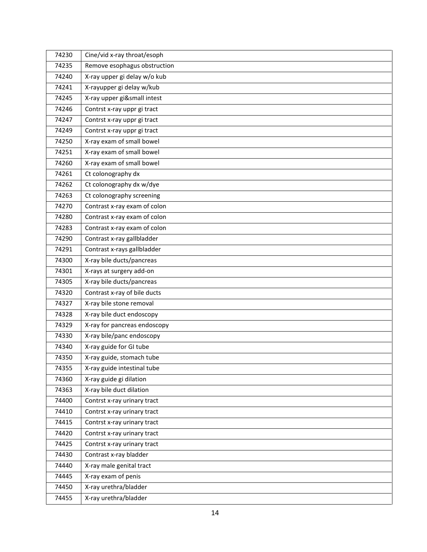| 74230 | Cine/vid x-ray throat/esoph  |
|-------|------------------------------|
| 74235 | Remove esophagus obstruction |
| 74240 | X-ray upper gi delay w/o kub |
| 74241 | X-rayupper gi delay w/kub    |
| 74245 | X-ray upper gi&small intest  |
| 74246 | Contrst x-ray uppr gi tract  |
| 74247 | Contrst x-ray uppr gi tract  |
| 74249 | Contrst x-ray uppr gi tract  |
| 74250 | X-ray exam of small bowel    |
| 74251 | X-ray exam of small bowel    |
| 74260 | X-ray exam of small bowel    |
| 74261 | Ct colonography dx           |
| 74262 | Ct colonography dx w/dye     |
| 74263 | Ct colonography screening    |
| 74270 | Contrast x-ray exam of colon |
| 74280 | Contrast x-ray exam of colon |
| 74283 | Contrast x-ray exam of colon |
| 74290 | Contrast x-ray gallbladder   |
| 74291 | Contrast x-rays gallbladder  |
| 74300 | X-ray bile ducts/pancreas    |
| 74301 | X-rays at surgery add-on     |
| 74305 | X-ray bile ducts/pancreas    |
| 74320 | Contrast x-ray of bile ducts |
| 74327 | X-ray bile stone removal     |
| 74328 | X-ray bile duct endoscopy    |
| 74329 | X-ray for pancreas endoscopy |
| 74330 | X-ray bile/panc endoscopy    |
| 74340 | X-ray guide for GI tube      |
| 74350 | X-ray guide, stomach tube    |
| 74355 | X-ray guide intestinal tube  |
| 74360 | X-ray guide gi dilation      |
| 74363 | X-ray bile duct dilation     |
| 74400 | Contrst x-ray urinary tract  |
| 74410 | Contrst x-ray urinary tract  |
| 74415 | Contrst x-ray urinary tract  |
| 74420 | Contrst x-ray urinary tract  |
| 74425 | Contrst x-ray urinary tract  |
| 74430 | Contrast x-ray bladder       |
| 74440 | X-ray male genital tract     |
| 74445 | X-ray exam of penis          |
| 74450 | X-ray urethra/bladder        |
| 74455 | X-ray urethra/bladder        |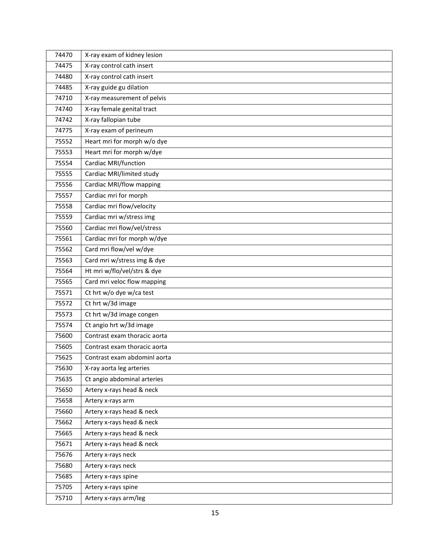| 74470 | X-ray exam of kidney lesion  |
|-------|------------------------------|
| 74475 | X-ray control cath insert    |
| 74480 | X-ray control cath insert    |
| 74485 | X-ray guide gu dilation      |
| 74710 | X-ray measurement of pelvis  |
| 74740 | X-ray female genital tract   |
| 74742 | X-ray fallopian tube         |
| 74775 | X-ray exam of perineum       |
| 75552 | Heart mri for morph w/o dye  |
| 75553 | Heart mri for morph w/dye    |
| 75554 | Cardiac MRI/function         |
| 75555 | Cardiac MRI/limited study    |
| 75556 | Cardiac MRI/flow mapping     |
| 75557 | Cardiac mri for morph        |
| 75558 | Cardiac mri flow/velocity    |
| 75559 | Cardiac mri w/stress img     |
| 75560 | Cardiac mri flow/vel/stress  |
| 75561 | Cardiac mri for morph w/dye  |
| 75562 | Card mri flow/vel w/dye      |
| 75563 | Card mri w/stress img & dye  |
| 75564 | Ht mri w/flo/vel/strs & dye  |
| 75565 | Card mri veloc flow mapping  |
| 75571 | Ct hrt w/o dye w/ca test     |
| 75572 | Ct hrt w/3d image            |
| 75573 | Ct hrt w/3d image congen     |
| 75574 | Ct angio hrt w/3d image      |
| 75600 | Contrast exam thoracic aorta |
| 75605 | Contrast exam thoracic aorta |
| 75625 | Contrast exam abdominl aorta |
| 75630 | X-ray aorta leg arteries     |
| 75635 | Ct angio abdominal arteries  |
| 75650 | Artery x-rays head & neck    |
| 75658 | Artery x-rays arm            |
| 75660 | Artery x-rays head & neck    |
| 75662 | Artery x-rays head & neck    |
| 75665 | Artery x-rays head & neck    |
| 75671 | Artery x-rays head & neck    |
| 75676 | Artery x-rays neck           |
| 75680 | Artery x-rays neck           |
| 75685 | Artery x-rays spine          |
| 75705 | Artery x-rays spine          |
| 75710 | Artery x-rays arm/leg        |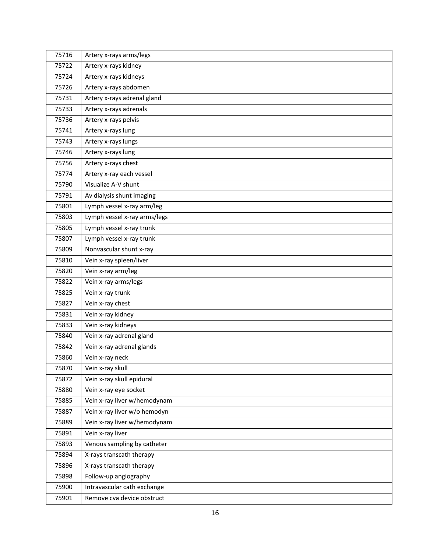| 75716 | Artery x-rays arms/legs      |
|-------|------------------------------|
| 75722 | Artery x-rays kidney         |
| 75724 | Artery x-rays kidneys        |
| 75726 | Artery x-rays abdomen        |
| 75731 | Artery x-rays adrenal gland  |
| 75733 | Artery x-rays adrenals       |
| 75736 | Artery x-rays pelvis         |
| 75741 | Artery x-rays lung           |
| 75743 | Artery x-rays lungs          |
| 75746 | Artery x-rays lung           |
| 75756 | Artery x-rays chest          |
| 75774 | Artery x-ray each vessel     |
| 75790 | Visualize A-V shunt          |
| 75791 | Av dialysis shunt imaging    |
| 75801 | Lymph vessel x-ray arm/leg   |
| 75803 | Lymph vessel x-ray arms/legs |
| 75805 | Lymph vessel x-ray trunk     |
| 75807 | Lymph vessel x-ray trunk     |
| 75809 | Nonvascular shunt x-ray      |
| 75810 | Vein x-ray spleen/liver      |
| 75820 | Vein x-ray arm/leg           |
| 75822 | Vein x-ray arms/legs         |
| 75825 | Vein x-ray trunk             |
| 75827 | Vein x-ray chest             |
| 75831 | Vein x-ray kidney            |
| 75833 | Vein x-ray kidneys           |
| 75840 | Vein x-ray adrenal gland     |
| 75842 | Vein x-ray adrenal glands    |
| 75860 | Vein x-ray neck              |
| 75870 | Vein x-ray skull             |
| 75872 | Vein x-ray skull epidural    |
| 75880 | Vein x-ray eye socket        |
| 75885 | Vein x-ray liver w/hemodynam |
| 75887 | Vein x-ray liver w/o hemodyn |
| 75889 | Vein x-ray liver w/hemodynam |
| 75891 | Vein x-ray liver             |
| 75893 | Venous sampling by catheter  |
| 75894 | X-rays transcath therapy     |
| 75896 | X-rays transcath therapy     |
| 75898 | Follow-up angiography        |
| 75900 | Intravascular cath exchange  |
| 75901 | Remove cva device obstruct   |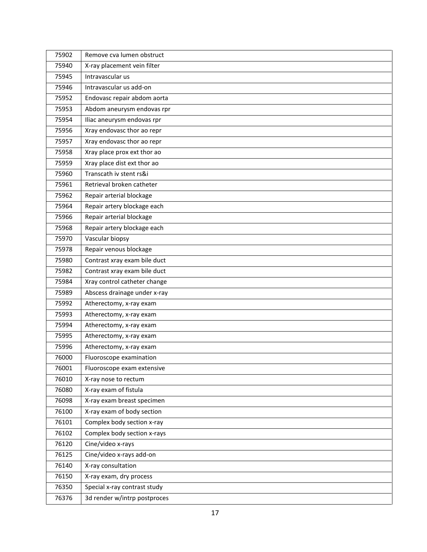| 75902 | Remove cva lumen obstruct    |
|-------|------------------------------|
| 75940 | X-ray placement vein filter  |
| 75945 | Intravascular us             |
| 75946 | Intravascular us add-on      |
| 75952 | Endovasc repair abdom aorta  |
| 75953 | Abdom aneurysm endovas rpr   |
| 75954 | Iliac aneurysm endovas rpr   |
| 75956 | Xray endovasc thor ao repr   |
| 75957 | Xray endovasc thor ao repr   |
| 75958 | Xray place prox ext thor ao  |
| 75959 | Xray place dist ext thor ao  |
| 75960 | Transcath iv stent rs&i      |
| 75961 | Retrieval broken catheter    |
| 75962 | Repair arterial blockage     |
| 75964 | Repair artery blockage each  |
| 75966 | Repair arterial blockage     |
| 75968 | Repair artery blockage each  |
| 75970 | Vascular biopsy              |
| 75978 | Repair venous blockage       |
| 75980 | Contrast xray exam bile duct |
| 75982 | Contrast xray exam bile duct |
| 75984 | Xray control catheter change |
| 75989 | Abscess drainage under x-ray |
| 75992 | Atherectomy, x-ray exam      |
| 75993 | Atherectomy, x-ray exam      |
| 75994 | Atherectomy, x-ray exam      |
| 75995 | Atherectomy, x-ray exam      |
| 75996 | Atherectomy, x-ray exam      |
| 76000 | Fluoroscope examination      |
| 76001 | Fluoroscope exam extensive   |
| 76010 | X-ray nose to rectum         |
| 76080 | X-ray exam of fistula        |
| 76098 | X-ray exam breast specimen   |
| 76100 | X-ray exam of body section   |
| 76101 | Complex body section x-ray   |
| 76102 | Complex body section x-rays  |
| 76120 | Cine/video x-rays            |
| 76125 | Cine/video x-rays add-on     |
| 76140 | X-ray consultation           |
| 76150 | X-ray exam, dry process      |
| 76350 | Special x-ray contrast study |
| 76376 | 3d render w/intrp postproces |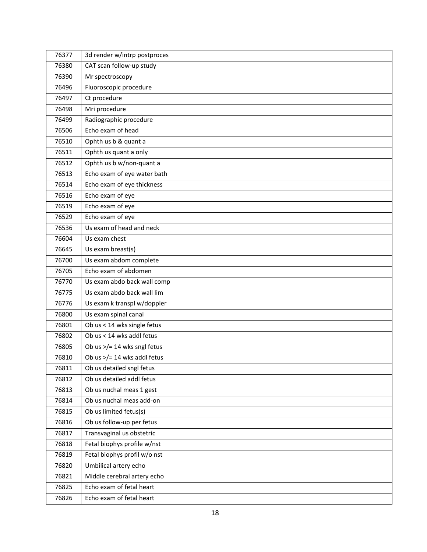| 76377 | 3d render w/intrp postproces             |
|-------|------------------------------------------|
| 76380 | CAT scan follow-up study                 |
| 76390 | Mr spectroscopy                          |
| 76496 | Fluoroscopic procedure                   |
| 76497 | Ct procedure                             |
| 76498 | Mri procedure                            |
| 76499 | Radiographic procedure                   |
| 76506 | Echo exam of head                        |
| 76510 | Ophth us b & quant a                     |
| 76511 | Ophth us quant a only                    |
| 76512 | Ophth us b w/non-quant a                 |
| 76513 | Echo exam of eye water bath              |
| 76514 | Echo exam of eye thickness               |
| 76516 | Echo exam of eye                         |
| 76519 | Echo exam of eye                         |
| 76529 | Echo exam of eye                         |
| 76536 | Us exam of head and neck                 |
| 76604 | Us exam chest                            |
| 76645 | Us exam breast(s)                        |
| 76700 | Us exam abdom complete                   |
| 76705 | Echo exam of abdomen                     |
| 76770 | Us exam abdo back wall comp              |
| 76775 | Us exam abdo back wall lim               |
| 76776 | Us exam k transpl w/doppler              |
| 76800 | Us exam spinal canal                     |
| 76801 | $\overline{Ob}$ us < 14 wks single fetus |
| 76802 | Ob us < 14 wks addl fetus                |
| 76805 | Ob us >/= 14 wks sngl fetus              |
| 76810 | Ob us $>$ /= 14 wks addl fetus           |
| 76811 | Ob us detailed sngl fetus                |
| 76812 | Ob us detailed addl fetus                |
| 76813 | Ob us nuchal meas 1 gest                 |
| 76814 | Ob us nuchal meas add-on                 |
| 76815 | Ob us limited fetus(s)                   |
| 76816 | Ob us follow-up per fetus                |
| 76817 | Transvaginal us obstetric                |
| 76818 | Fetal biophys profile w/nst              |
| 76819 | Fetal biophys profil w/o nst             |
| 76820 | Umbilical artery echo                    |
| 76821 | Middle cerebral artery echo              |
| 76825 | Echo exam of fetal heart                 |
| 76826 | Echo exam of fetal heart                 |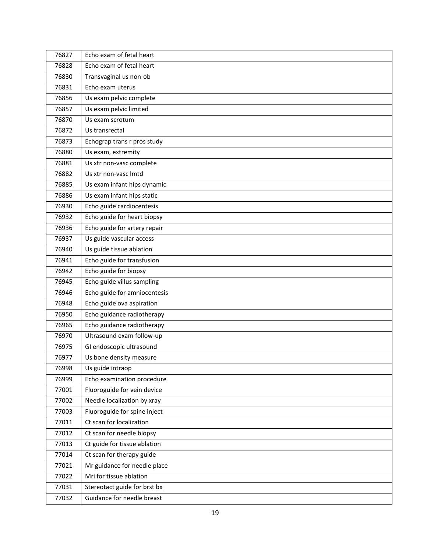| 76827 | Echo exam of fetal heart     |
|-------|------------------------------|
| 76828 | Echo exam of fetal heart     |
| 76830 | Transvaginal us non-ob       |
| 76831 | Echo exam uterus             |
| 76856 | Us exam pelvic complete      |
| 76857 | Us exam pelvic limited       |
| 76870 | Us exam scrotum              |
| 76872 | Us transrectal               |
| 76873 | Echograp trans r pros study  |
| 76880 | Us exam, extremity           |
| 76881 | Us xtr non-vasc complete     |
| 76882 | Us xtr non-vasc Imtd         |
| 76885 | Us exam infant hips dynamic  |
| 76886 | Us exam infant hips static   |
| 76930 | Echo guide cardiocentesis    |
| 76932 | Echo guide for heart biopsy  |
| 76936 | Echo guide for artery repair |
| 76937 | Us guide vascular access     |
| 76940 | Us guide tissue ablation     |
| 76941 | Echo guide for transfusion   |
| 76942 | Echo guide for biopsy        |
| 76945 | Echo guide villus sampling   |
| 76946 | Echo guide for amniocentesis |
| 76948 | Echo guide ova aspiration    |
| 76950 | Echo guidance radiotherapy   |
| 76965 | Echo guidance radiotherapy   |
| 76970 | Ultrasound exam follow-up    |
| 76975 | GI endoscopic ultrasound     |
| 76977 | Us bone density measure      |
| 76998 | Us guide intraop             |
| 76999 | Echo examination procedure   |
| 77001 | Fluoroguide for vein device  |
| 77002 | Needle localization by xray  |
| 77003 | Fluoroguide for spine inject |
| 77011 | Ct scan for localization     |
| 77012 | Ct scan for needle biopsy    |
| 77013 | Ct guide for tissue ablation |
| 77014 | Ct scan for therapy guide    |
| 77021 | Mr guidance for needle place |
| 77022 | Mri for tissue ablation      |
| 77031 | Stereotact guide for brst bx |
| 77032 | Guidance for needle breast   |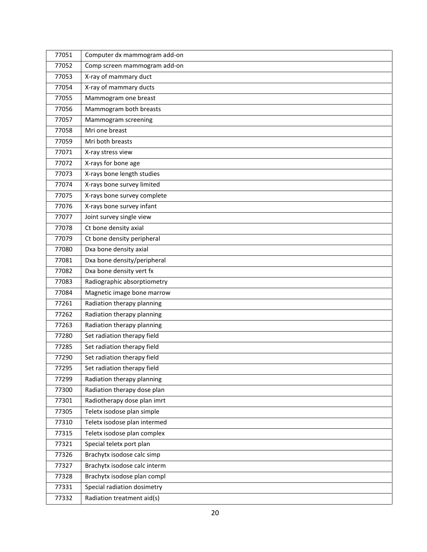| 77051 | Computer dx mammogram add-on |
|-------|------------------------------|
| 77052 | Comp screen mammogram add-on |
| 77053 | X-ray of mammary duct        |
| 77054 | X-ray of mammary ducts       |
| 77055 | Mammogram one breast         |
| 77056 | Mammogram both breasts       |
| 77057 | Mammogram screening          |
| 77058 | Mri one breast               |
| 77059 | Mri both breasts             |
| 77071 | X-ray stress view            |
| 77072 | X-rays for bone age          |
| 77073 | X-rays bone length studies   |
| 77074 | X-rays bone survey limited   |
| 77075 | X-rays bone survey complete  |
| 77076 | X-rays bone survey infant    |
| 77077 | Joint survey single view     |
| 77078 | Ct bone density axial        |
| 77079 | Ct bone density peripheral   |
| 77080 | Dxa bone density axial       |
| 77081 | Dxa bone density/peripheral  |
| 77082 | Dxa bone density vert fx     |
| 77083 | Radiographic absorptiometry  |
| 77084 | Magnetic image bone marrow   |
| 77261 | Radiation therapy planning   |
| 77262 | Radiation therapy planning   |
| 77263 | Radiation therapy planning   |
| 77280 | Set radiation therapy field  |
| 77285 | Set radiation therapy field  |
| 77290 | Set radiation therapy field  |
| 77295 | Set radiation therapy field  |
| 77299 | Radiation therapy planning   |
| 77300 | Radiation therapy dose plan  |
| 77301 | Radiotherapy dose plan imrt  |
| 77305 | Teletx isodose plan simple   |
| 77310 | Teletx isodose plan intermed |
| 77315 | Teletx isodose plan complex  |
| 77321 | Special teletx port plan     |
| 77326 | Brachytx isodose calc simp   |
| 77327 | Brachytx isodose calc interm |
| 77328 | Brachytx isodose plan compl  |
| 77331 | Special radiation dosimetry  |
| 77332 | Radiation treatment aid(s)   |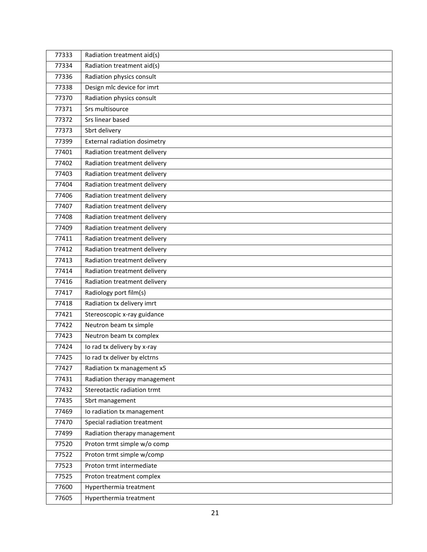| 77333 | Radiation treatment aid(s)   |
|-------|------------------------------|
| 77334 | Radiation treatment aid(s)   |
| 77336 | Radiation physics consult    |
| 77338 | Design mlc device for imrt   |
| 77370 | Radiation physics consult    |
| 77371 | Srs multisource              |
| 77372 | Srs linear based             |
| 77373 | Sbrt delivery                |
| 77399 | External radiation dosimetry |
| 77401 | Radiation treatment delivery |
| 77402 | Radiation treatment delivery |
| 77403 | Radiation treatment delivery |
| 77404 | Radiation treatment delivery |
| 77406 | Radiation treatment delivery |
| 77407 | Radiation treatment delivery |
| 77408 | Radiation treatment delivery |
| 77409 | Radiation treatment delivery |
| 77411 | Radiation treatment delivery |
| 77412 | Radiation treatment delivery |
| 77413 | Radiation treatment delivery |
| 77414 | Radiation treatment delivery |
| 77416 | Radiation treatment delivery |
| 77417 | Radiology port film(s)       |
| 77418 | Radiation tx delivery imrt   |
| 77421 | Stereoscopic x-ray guidance  |
| 77422 | Neutron beam tx simple       |
| 77423 | Neutron beam tx complex      |
| 77424 | Io rad tx delivery by x-ray  |
| 77425 | Io rad tx deliver by elctrns |
| 77427 | Radiation tx management x5   |
| 77431 | Radiation therapy management |
| 77432 | Stereotactic radiation trmt  |
| 77435 | Sbrt management              |
| 77469 | lo radiation tx management   |
| 77470 | Special radiation treatment  |
| 77499 | Radiation therapy management |
| 77520 | Proton trmt simple w/o comp  |
| 77522 | Proton trmt simple w/comp    |
| 77523 | Proton trmt intermediate     |
| 77525 | Proton treatment complex     |
| 77600 | Hyperthermia treatment       |
| 77605 | Hyperthermia treatment       |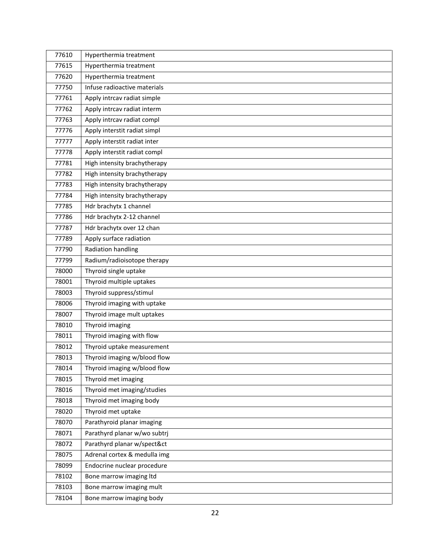| 77610 | Hyperthermia treatment       |
|-------|------------------------------|
| 77615 | Hyperthermia treatment       |
| 77620 | Hyperthermia treatment       |
| 77750 | Infuse radioactive materials |
| 77761 | Apply intrcav radiat simple  |
| 77762 | Apply intrcav radiat interm  |
| 77763 | Apply intrcav radiat compl   |
| 77776 | Apply interstit radiat simpl |
| 77777 | Apply interstit radiat inter |
| 77778 | Apply interstit radiat compl |
| 77781 | High intensity brachytherapy |
| 77782 | High intensity brachytherapy |
| 77783 | High intensity brachytherapy |
| 77784 | High intensity brachytherapy |
| 77785 | Hdr brachytx 1 channel       |
| 77786 | Hdr brachytx 2-12 channel    |
| 77787 | Hdr brachytx over 12 chan    |
| 77789 | Apply surface radiation      |
| 77790 | Radiation handling           |
| 77799 | Radium/radioisotope therapy  |
| 78000 | Thyroid single uptake        |
| 78001 | Thyroid multiple uptakes     |
| 78003 | Thyroid suppress/stimul      |
| 78006 | Thyroid imaging with uptake  |
| 78007 | Thyroid image mult uptakes   |
| 78010 | Thyroid imaging              |
| 78011 | Thyroid imaging with flow    |
| 78012 | Thyroid uptake measurement   |
| 78013 | Thyroid imaging w/blood flow |
| 78014 | Thyroid imaging w/blood flow |
| 78015 | Thyroid met imaging          |
| 78016 | Thyroid met imaging/studies  |
| 78018 | Thyroid met imaging body     |
| 78020 | Thyroid met uptake           |
| 78070 | Parathyroid planar imaging   |
| 78071 | Parathyrd planar w/wo subtrj |
| 78072 | Parathyrd planar w/spect&ct  |
| 78075 | Adrenal cortex & medulla img |
| 78099 | Endocrine nuclear procedure  |
| 78102 | Bone marrow imaging ltd      |
| 78103 | Bone marrow imaging mult     |
| 78104 | Bone marrow imaging body     |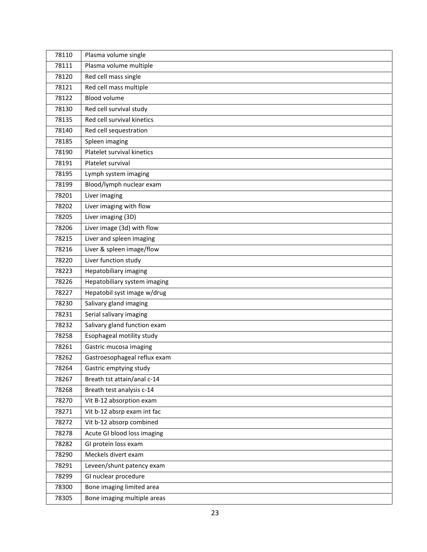| 78110 | Plasma volume single         |
|-------|------------------------------|
| 78111 | Plasma volume multiple       |
| 78120 | Red cell mass single         |
| 78121 | Red cell mass multiple       |
| 78122 | <b>Blood volume</b>          |
| 78130 | Red cell survival study      |
| 78135 | Red cell survival kinetics   |
| 78140 | Red cell sequestration       |
| 78185 | Spleen imaging               |
| 78190 | Platelet survival kinetics   |
| 78191 | Platelet survival            |
| 78195 | Lymph system imaging         |
| 78199 | Blood/lymph nuclear exam     |
| 78201 | Liver imaging                |
| 78202 | Liver imaging with flow      |
| 78205 | Liver imaging (3D)           |
| 78206 | Liver image (3d) with flow   |
| 78215 | Liver and spleen imaging     |
| 78216 | Liver & spleen image/flow    |
| 78220 | Liver function study         |
| 78223 | Hepatobiliary imaging        |
| 78226 | Hepatobiliary system imaging |
| 78227 | Hepatobil syst image w/drug  |
| 78230 | Salivary gland imaging       |
| 78231 | Serial salivary imaging      |
| 78232 | Salivary gland function exam |
| 78258 | Esophageal motility study    |
| 78261 | Gastric mucosa imaging       |
| 78262 | Gastroesophageal reflux exam |
| 78264 | Gastric emptying study       |
| 78267 | Breath tst attain/anal c-14  |
| 78268 | Breath test analysis c-14    |
| 78270 | Vit B-12 absorption exam     |
| 78271 | Vit b-12 absrp exam int fac  |
| 78272 | Vit b-12 absorp combined     |
| 78278 | Acute GI blood loss imaging  |
| 78282 | GI protein loss exam         |
| 78290 | Meckels divert exam          |
| 78291 | Leveen/shunt patency exam    |
| 78299 | GI nuclear procedure         |
| 78300 | Bone imaging limited area    |
| 78305 | Bone imaging multiple areas  |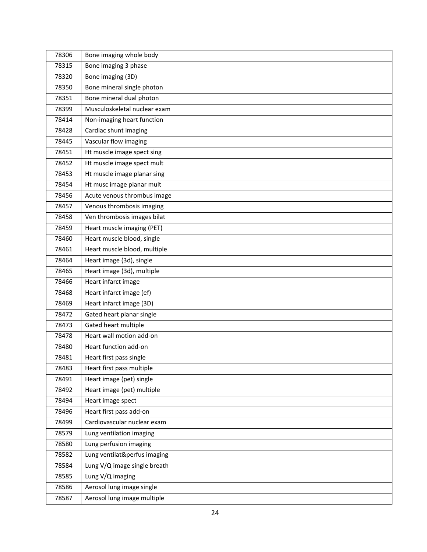| 78306 | Bone imaging whole body      |
|-------|------------------------------|
| 78315 | Bone imaging 3 phase         |
| 78320 | Bone imaging (3D)            |
| 78350 | Bone mineral single photon   |
| 78351 | Bone mineral dual photon     |
| 78399 | Musculoskeletal nuclear exam |
| 78414 | Non-imaging heart function   |
| 78428 | Cardiac shunt imaging        |
| 78445 | Vascular flow imaging        |
| 78451 | Ht muscle image spect sing   |
| 78452 | Ht muscle image spect mult   |
| 78453 | Ht muscle image planar sing  |
| 78454 | Ht musc image planar mult    |
| 78456 | Acute venous thrombus image  |
| 78457 | Venous thrombosis imaging    |
| 78458 | Ven thrombosis images bilat  |
| 78459 | Heart muscle imaging (PET)   |
| 78460 | Heart muscle blood, single   |
| 78461 | Heart muscle blood, multiple |
| 78464 | Heart image (3d), single     |
| 78465 | Heart image (3d), multiple   |
| 78466 | Heart infarct image          |
| 78468 | Heart infarct image (ef)     |
| 78469 | Heart infarct image (3D)     |
| 78472 | Gated heart planar single    |
| 78473 | Gated heart multiple         |
| 78478 | Heart wall motion add-on     |
| 78480 | Heart function add-on        |
| 78481 | Heart first pass single      |
| 78483 | Heart first pass multiple    |
| 78491 | Heart image (pet) single     |
| 78492 | Heart image (pet) multiple   |
| 78494 | Heart image spect            |
| 78496 | Heart first pass add-on      |
| 78499 | Cardiovascular nuclear exam  |
| 78579 | Lung ventilation imaging     |
| 78580 | Lung perfusion imaging       |
| 78582 | Lung ventilat&perfus imaging |
| 78584 | Lung V/Q image single breath |
| 78585 | Lung V/Q imaging             |
| 78586 | Aerosol lung image single    |
| 78587 | Aerosol lung image multiple  |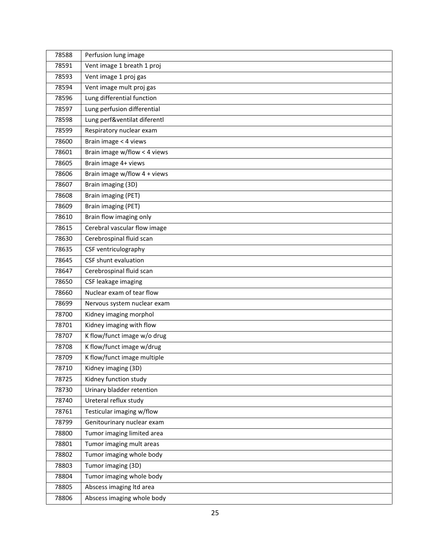| 78588 | Perfusion lung image         |
|-------|------------------------------|
| 78591 | Vent image 1 breath 1 proj   |
| 78593 | Vent image 1 proj gas        |
| 78594 | Vent image mult proj gas     |
| 78596 | Lung differential function   |
| 78597 | Lung perfusion differential  |
| 78598 | Lung perf&ventilat diferentl |
| 78599 | Respiratory nuclear exam     |
| 78600 | Brain image < 4 views        |
| 78601 | Brain image w/flow < 4 views |
| 78605 | Brain image 4+ views         |
| 78606 | Brain image w/flow 4 + views |
| 78607 | Brain imaging (3D)           |
| 78608 | Brain imaging (PET)          |
| 78609 | Brain imaging (PET)          |
| 78610 | Brain flow imaging only      |
| 78615 | Cerebral vascular flow image |
| 78630 | Cerebrospinal fluid scan     |
| 78635 | CSF ventriculography         |
| 78645 | CSF shunt evaluation         |
| 78647 | Cerebrospinal fluid scan     |
| 78650 | CSF leakage imaging          |
| 78660 | Nuclear exam of tear flow    |
| 78699 | Nervous system nuclear exam  |
| 78700 | Kidney imaging morphol       |
| 78701 | Kidney imaging with flow     |
| 78707 | K flow/funct image w/o drug  |
| 78708 | K flow/funct image w/drug    |
| 78709 | K flow/funct image multiple  |
| 78710 | Kidney imaging (3D)          |
| 78725 | Kidney function study        |
| 78730 | Urinary bladder retention    |
| 78740 | Ureteral reflux study        |
| 78761 | Testicular imaging w/flow    |
| 78799 | Genitourinary nuclear exam   |
| 78800 | Tumor imaging limited area   |
| 78801 | Tumor imaging mult areas     |
| 78802 | Tumor imaging whole body     |
| 78803 | Tumor imaging (3D)           |
| 78804 | Tumor imaging whole body     |
| 78805 | Abscess imaging Itd area     |
| 78806 | Abscess imaging whole body   |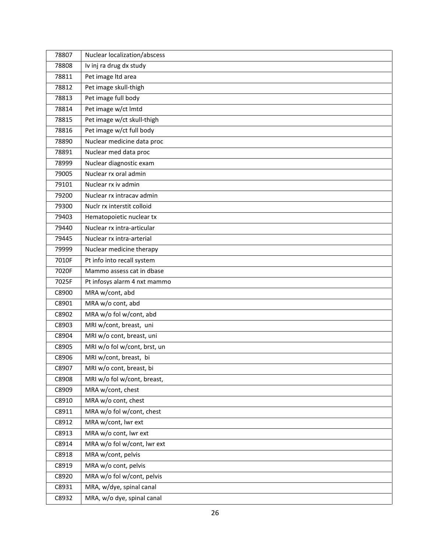| 78807 | Nuclear localization/abscess |
|-------|------------------------------|
| 78808 | Iv inj ra drug dx study      |
| 78811 | Pet image Itd area           |
| 78812 | Pet image skull-thigh        |
| 78813 | Pet image full body          |
| 78814 | Pet image w/ct Imtd          |
| 78815 | Pet image w/ct skull-thigh   |
| 78816 | Pet image w/ct full body     |
| 78890 | Nuclear medicine data proc   |
| 78891 | Nuclear med data proc        |
| 78999 | Nuclear diagnostic exam      |
| 79005 | Nuclear rx oral admin        |
| 79101 | Nuclear rx iv admin          |
| 79200 | Nuclear rx intracay admin    |
| 79300 | Nuclr rx interstit colloid   |
| 79403 | Hematopoietic nuclear tx     |
| 79440 | Nuclear rx intra-articular   |
| 79445 | Nuclear rx intra-arterial    |
| 79999 | Nuclear medicine therapy     |
| 7010F | Pt info into recall system   |
| 7020F | Mammo assess cat in dbase    |
| 7025F | Pt infosys alarm 4 nxt mammo |
| C8900 | MRA w/cont, abd              |
| C8901 | MRA w/o cont, abd            |
| C8902 | MRA w/o fol w/cont, abd      |
| C8903 | MRI w/cont, breast, uni      |
| C8904 | MRI w/o cont, breast, uni    |
| C8905 | MRI w/o fol w/cont, brst, un |
| C8906 | MRI w/cont, breast, bi       |
| C8907 | MRI w/o cont, breast, bi     |
| C8908 | MRI w/o fol w/cont, breast,  |
| C8909 | MRA w/cont, chest            |
| C8910 | MRA w/o cont, chest          |
| C8911 | MRA w/o fol w/cont, chest    |
| C8912 | MRA w/cont, lwr ext          |
| C8913 | MRA w/o cont, lwr ext        |
| C8914 | MRA w/o fol w/cont, lwr ext  |
| C8918 | MRA w/cont, pelvis           |
| C8919 | MRA w/o cont, pelvis         |
| C8920 | MRA w/o fol w/cont, pelvis   |
| C8931 | MRA, w/dye, spinal canal     |
| C8932 | MRA, w/o dye, spinal canal   |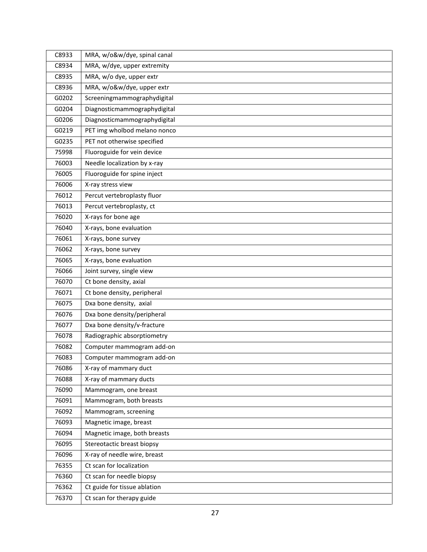| C8933 | MRA, w/o&w/dye, spinal canal |
|-------|------------------------------|
| C8934 | MRA, w/dye, upper extremity  |
| C8935 | MRA, w/o dye, upper extr     |
| C8936 | MRA, w/o&w/dye, upper extr   |
| G0202 | Screeningmammographydigital  |
| G0204 | Diagnosticmammographydigital |
| G0206 | Diagnosticmammographydigital |
| G0219 | PET img wholbod melano nonco |
| G0235 | PET not otherwise specified  |
| 75998 | Fluoroguide for vein device  |
| 76003 | Needle localization by x-ray |
| 76005 | Fluoroguide for spine inject |
| 76006 | X-ray stress view            |
| 76012 | Percut vertebroplasty fluor  |
| 76013 | Percut vertebroplasty, ct    |
| 76020 | X-rays for bone age          |
| 76040 | X-rays, bone evaluation      |
| 76061 | X-rays, bone survey          |
| 76062 | X-rays, bone survey          |
| 76065 | X-rays, bone evaluation      |
| 76066 | Joint survey, single view    |
| 76070 | Ct bone density, axial       |
| 76071 | Ct bone density, peripheral  |
| 76075 | Dxa bone density, axial      |
| 76076 | Dxa bone density/peripheral  |
| 76077 | Dxa bone density/v-fracture  |
| 76078 | Radiographic absorptiometry  |
| 76082 | Computer mammogram add-on    |
| 76083 | Computer mammogram add-on    |
| 76086 | X-ray of mammary duct        |
| 76088 | X-ray of mammary ducts       |
| 76090 | Mammogram, one breast        |
| 76091 | Mammogram, both breasts      |
| 76092 | Mammogram, screening         |
| 76093 | Magnetic image, breast       |
| 76094 | Magnetic image, both breasts |
| 76095 | Stereotactic breast biopsy   |
| 76096 | X-ray of needle wire, breast |
| 76355 | Ct scan for localization     |
| 76360 | Ct scan for needle biopsy    |
| 76362 | Ct guide for tissue ablation |
| 76370 | Ct scan for therapy guide    |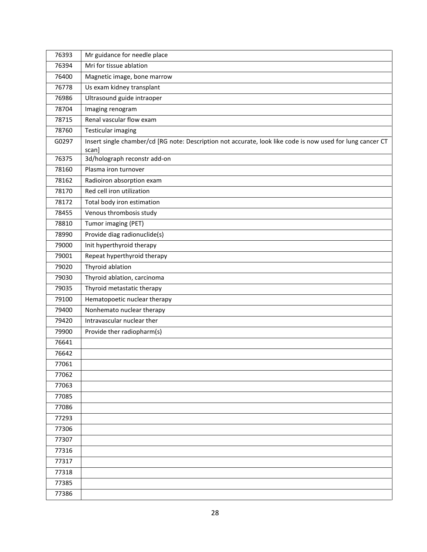| 76393 | Mr guidance for needle place                                                                               |
|-------|------------------------------------------------------------------------------------------------------------|
| 76394 | Mri for tissue ablation                                                                                    |
| 76400 | Magnetic image, bone marrow                                                                                |
| 76778 | Us exam kidney transplant                                                                                  |
| 76986 | Ultrasound guide intraoper                                                                                 |
| 78704 | Imaging renogram                                                                                           |
| 78715 | Renal vascular flow exam                                                                                   |
| 78760 | <b>Testicular imaging</b>                                                                                  |
| G0297 | Insert single chamber/cd [RG note: Description not accurate, look like code is now used for lung cancer CT |
|       | scan]                                                                                                      |
| 76375 | 3d/holograph reconstr add-on                                                                               |
| 78160 | Plasma iron turnover                                                                                       |
| 78162 | Radioiron absorption exam                                                                                  |
| 78170 | Red cell iron utilization                                                                                  |
| 78172 | Total body iron estimation                                                                                 |
| 78455 | Venous thrombosis study                                                                                    |
| 78810 | Tumor imaging (PET)                                                                                        |
| 78990 | Provide diag radionuclide(s)                                                                               |
| 79000 | Init hyperthyroid therapy                                                                                  |
| 79001 | Repeat hyperthyroid therapy                                                                                |
| 79020 | Thyroid ablation                                                                                           |
| 79030 | Thyroid ablation, carcinoma                                                                                |
| 79035 | Thyroid metastatic therapy                                                                                 |
| 79100 | Hematopoetic nuclear therapy                                                                               |
| 79400 | Nonhemato nuclear therapy                                                                                  |
| 79420 | Intravascular nuclear ther                                                                                 |
| 79900 | Provide ther radiopharm(s)                                                                                 |
| 76641 |                                                                                                            |
| 76642 |                                                                                                            |
| 77061 |                                                                                                            |
| 77062 |                                                                                                            |
| 77063 |                                                                                                            |
| 77085 |                                                                                                            |
| 77086 |                                                                                                            |
| 77293 |                                                                                                            |
| 77306 |                                                                                                            |
| 77307 |                                                                                                            |
| 77316 |                                                                                                            |
| 77317 |                                                                                                            |
| 77318 |                                                                                                            |
| 77385 |                                                                                                            |
| 77386 |                                                                                                            |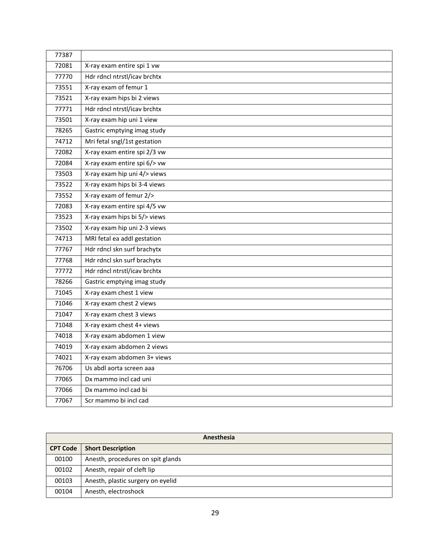| 77387 |                              |
|-------|------------------------------|
| 72081 | X-ray exam entire spi 1 vw   |
| 77770 | Hdr rdncl ntrstl/icav brchtx |
| 73551 | X-ray exam of femur 1        |
| 73521 | X-ray exam hips bi 2 views   |
| 77771 | Hdr rdncl ntrstl/icav brchtx |
| 73501 | X-ray exam hip uni 1 view    |
| 78265 | Gastric emptying imag study  |
| 74712 | Mri fetal sngl/1st gestation |
| 72082 | X-ray exam entire spi 2/3 vw |
| 72084 | X-ray exam entire spi 6/> vw |
| 73503 | X-ray exam hip uni 4/> views |
| 73522 | X-ray exam hips bi 3-4 views |
| 73552 | X-ray exam of femur 2/>      |
| 72083 | X-ray exam entire spi 4/5 vw |
| 73523 | X-ray exam hips bi 5/> views |
| 73502 | X-ray exam hip uni 2-3 views |
| 74713 | MRI fetal ea addl gestation  |
| 77767 | Hdr rdncl skn surf brachytx  |
| 77768 | Hdr rdncl skn surf brachytx  |
| 77772 | Hdr rdncl ntrstl/icav brchtx |
| 78266 | Gastric emptying imag study  |
| 71045 | X-ray exam chest 1 view      |
| 71046 | X-ray exam chest 2 views     |
| 71047 | X-ray exam chest 3 views     |
| 71048 | X-ray exam chest 4+ views    |
| 74018 | X-ray exam abdomen 1 view    |
| 74019 | X-ray exam abdomen 2 views   |
| 74021 | X-ray exam abdomen 3+ views  |
| 76706 | Us abdl aorta screen aaa     |
| 77065 | Dx mammo incl cad uni        |
| 77066 | Dx mammo incl cad bi         |
| 77067 | Scr mammo bi incl cad        |

| Anesthesia      |                                   |
|-----------------|-----------------------------------|
| <b>CPT Code</b> | <b>Short Description</b>          |
| 00100           | Anesth, procedures on spit glands |
| 00102           | Anesth, repair of cleft lip       |
| 00103           | Anesth, plastic surgery on eyelid |
| 00104           | Anesth, electroshock              |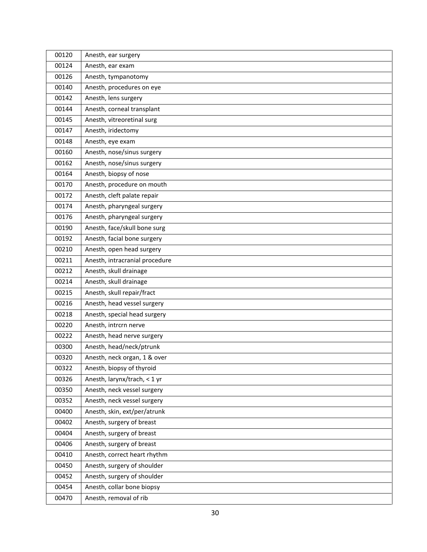| 00120 | Anesth, ear surgery            |
|-------|--------------------------------|
| 00124 | Anesth, ear exam               |
| 00126 | Anesth, tympanotomy            |
| 00140 | Anesth, procedures on eye      |
| 00142 | Anesth, lens surgery           |
| 00144 | Anesth, corneal transplant     |
| 00145 | Anesth, vitreoretinal surg     |
| 00147 | Anesth, iridectomy             |
| 00148 | Anesth, eye exam               |
| 00160 | Anesth, nose/sinus surgery     |
| 00162 | Anesth, nose/sinus surgery     |
| 00164 | Anesth, biopsy of nose         |
| 00170 | Anesth, procedure on mouth     |
| 00172 | Anesth, cleft palate repair    |
| 00174 | Anesth, pharyngeal surgery     |
| 00176 | Anesth, pharyngeal surgery     |
| 00190 | Anesth, face/skull bone surg   |
| 00192 | Anesth, facial bone surgery    |
| 00210 | Anesth, open head surgery      |
| 00211 | Anesth, intracranial procedure |
| 00212 | Anesth, skull drainage         |
| 00214 | Anesth, skull drainage         |
| 00215 | Anesth, skull repair/fract     |
| 00216 | Anesth, head vessel surgery    |
| 00218 | Anesth, special head surgery   |
| 00220 | Anesth, intrcrn nerve          |
| 00222 | Anesth, head nerve surgery     |
| 00300 | Anesth, head/neck/ptrunk       |
| 00320 | Anesth, neck organ, 1 & over   |
| 00322 | Anesth, biopsy of thyroid      |
| 00326 | Anesth, larynx/trach, < 1 yr   |
| 00350 | Anesth, neck vessel surgery    |
| 00352 | Anesth, neck vessel surgery    |
| 00400 | Anesth, skin, ext/per/atrunk   |
| 00402 | Anesth, surgery of breast      |
| 00404 | Anesth, surgery of breast      |
| 00406 | Anesth, surgery of breast      |
| 00410 | Anesth, correct heart rhythm   |
| 00450 | Anesth, surgery of shoulder    |
| 00452 | Anesth, surgery of shoulder    |
| 00454 | Anesth, collar bone biopsy     |
| 00470 | Anesth, removal of rib         |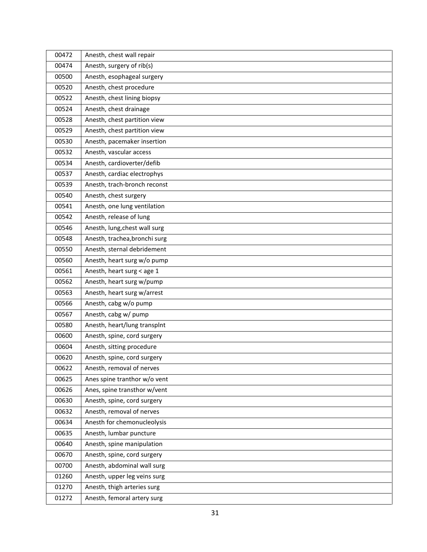| 00472 | Anesth, chest wall repair     |
|-------|-------------------------------|
| 00474 | Anesth, surgery of rib(s)     |
| 00500 | Anesth, esophageal surgery    |
| 00520 | Anesth, chest procedure       |
| 00522 | Anesth, chest lining biopsy   |
| 00524 | Anesth, chest drainage        |
| 00528 | Anesth, chest partition view  |
| 00529 | Anesth, chest partition view  |
| 00530 | Anesth, pacemaker insertion   |
| 00532 | Anesth, vascular access       |
| 00534 | Anesth, cardioverter/defib    |
| 00537 | Anesth, cardiac electrophys   |
| 00539 | Anesth, trach-bronch reconst  |
| 00540 | Anesth, chest surgery         |
| 00541 | Anesth, one lung ventilation  |
| 00542 | Anesth, release of lung       |
| 00546 | Anesth, lung, chest wall surg |
| 00548 | Anesth, trachea, bronchi surg |
| 00550 | Anesth, sternal debridement   |
| 00560 | Anesth, heart surg w/o pump   |
| 00561 | Anesth, heart surg < age 1    |
| 00562 | Anesth, heart surg w/pump     |
| 00563 | Anesth, heart surg w/arrest   |
| 00566 | Anesth, cabg w/o pump         |
| 00567 | Anesth, cabg w/ pump          |
| 00580 | Anesth, heart/lung transplnt  |
| 00600 | Anesth, spine, cord surgery   |
| 00604 | Anesth, sitting procedure     |
| 00620 | Anesth, spine, cord surgery   |
| 00622 | Anesth, removal of nerves     |
| 00625 | Anes spine tranthor w/o vent  |
| 00626 | Anes, spine transthor w/vent  |
| 00630 | Anesth, spine, cord surgery   |
| 00632 | Anesth, removal of nerves     |
| 00634 | Anesth for chemonucleolysis   |
| 00635 | Anesth, lumbar puncture       |
| 00640 | Anesth, spine manipulation    |
| 00670 | Anesth, spine, cord surgery   |
| 00700 | Anesth, abdominal wall surg   |
| 01260 | Anesth, upper leg veins surg  |
| 01270 | Anesth, thigh arteries surg   |
| 01272 | Anesth, femoral artery surg   |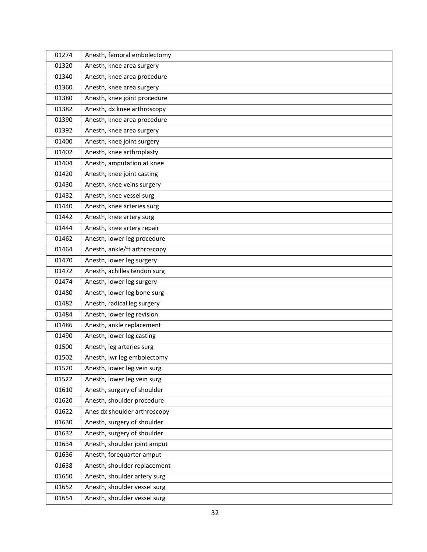| 01274 | Anesth, femoral embolectomy  |
|-------|------------------------------|
| 01320 | Anesth, knee area surgery    |
| 01340 | Anesth, knee area procedure  |
| 01360 | Anesth, knee area surgery    |
| 01380 | Anesth, knee joint procedure |
| 01382 | Anesth, dx knee arthroscopy  |
| 01390 | Anesth, knee area procedure  |
| 01392 | Anesth, knee area surgery    |
| 01400 | Anesth, knee joint surgery   |
| 01402 | Anesth, knee arthroplasty    |
| 01404 | Anesth, amputation at knee   |
| 01420 | Anesth, knee joint casting   |
| 01430 | Anesth, knee veins surgery   |
| 01432 | Anesth, knee vessel surg     |
| 01440 | Anesth, knee arteries surg   |
| 01442 | Anesth, knee artery surg     |
| 01444 | Anesth, knee artery repair   |
| 01462 | Anesth, lower leg procedure  |
| 01464 | Anesth, ankle/ft arthroscopy |
| 01470 | Anesth, lower leg surgery    |
| 01472 | Anesth, achilles tendon surg |
| 01474 | Anesth, lower leg surgery    |
| 01480 | Anesth, lower leg bone surg  |
| 01482 | Anesth, radical leg surgery  |
| 01484 | Anesth, lower leg revision   |
| 01486 | Anesth, ankle replacement    |
| 01490 | Anesth, lower leg casting    |
| 01500 | Anesth, leg arteries surg    |
| 01502 | Anesth, Iwr leg embolectomy  |
| 01520 | Anesth, lower leg vein surg  |
| 01522 | Anesth, lower leg vein surg  |
| 01610 | Anesth, surgery of shoulder  |
| 01620 | Anesth, shoulder procedure   |
| 01622 | Anes dx shoulder arthroscopy |
| 01630 | Anesth, surgery of shoulder  |
| 01632 | Anesth, surgery of shoulder  |
| 01634 | Anesth, shoulder joint amput |
| 01636 | Anesth, forequarter amput    |
| 01638 | Anesth, shoulder replacement |
| 01650 | Anesth, shoulder artery surg |
| 01652 | Anesth, shoulder vessel surg |
| 01654 | Anesth, shoulder vessel surg |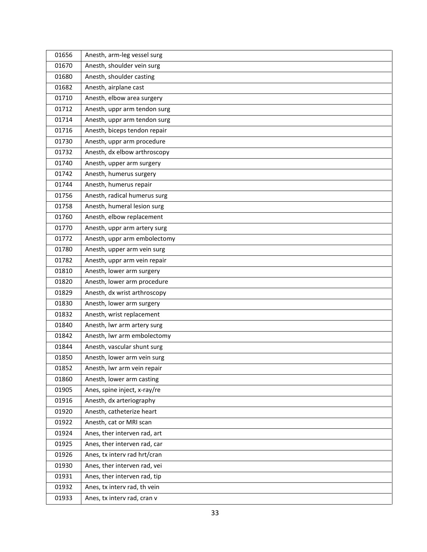| 01656 | Anesth, arm-leg vessel surg  |
|-------|------------------------------|
| 01670 | Anesth, shoulder vein surg   |
| 01680 | Anesth, shoulder casting     |
| 01682 | Anesth, airplane cast        |
| 01710 | Anesth, elbow area surgery   |
| 01712 | Anesth, uppr arm tendon surg |
| 01714 | Anesth, uppr arm tendon surg |
| 01716 | Anesth, biceps tendon repair |
| 01730 | Anesth, uppr arm procedure   |
| 01732 | Anesth, dx elbow arthroscopy |
| 01740 | Anesth, upper arm surgery    |
| 01742 | Anesth, humerus surgery      |
| 01744 | Anesth, humerus repair       |
| 01756 | Anesth, radical humerus surg |
| 01758 | Anesth, humeral lesion surg  |
| 01760 | Anesth, elbow replacement    |
| 01770 | Anesth, uppr arm artery surg |
| 01772 | Anesth, uppr arm embolectomy |
| 01780 | Anesth, upper arm vein surg  |
| 01782 | Anesth, uppr arm vein repair |
| 01810 | Anesth, lower arm surgery    |
| 01820 | Anesth, lower arm procedure  |
| 01829 | Anesth, dx wrist arthroscopy |
| 01830 | Anesth, lower arm surgery    |
| 01832 | Anesth, wrist replacement    |
| 01840 | Anesth, Iwr arm artery surg  |
| 01842 | Anesth, Iwr arm embolectomy  |
| 01844 | Anesth, vascular shunt surg  |
| 01850 | Anesth, lower arm vein surg  |
| 01852 | Anesth, Iwr arm vein repair  |
| 01860 | Anesth, lower arm casting    |
| 01905 | Anes, spine inject, x-ray/re |
| 01916 | Anesth, dx arteriography     |
| 01920 | Anesth, catheterize heart    |
| 01922 | Anesth, cat or MRI scan      |
| 01924 | Anes, ther interven rad, art |
| 01925 | Anes, ther interven rad, car |
| 01926 | Anes, tx interv rad hrt/cran |
| 01930 | Anes, ther interven rad, vei |
| 01931 | Anes, ther interven rad, tip |
| 01932 | Anes, tx interv rad, th vein |
| 01933 | Anes, tx interv rad, cran v  |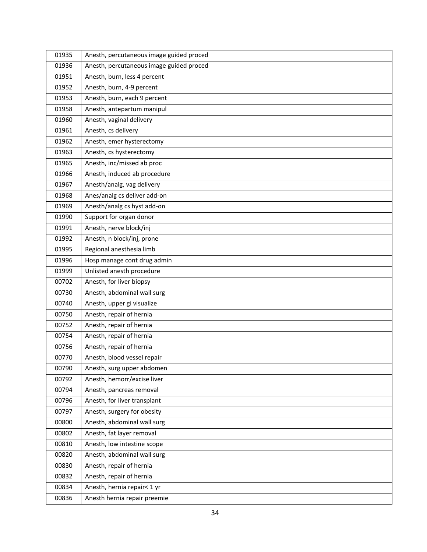| 01935 | Anesth, percutaneous image guided proced |
|-------|------------------------------------------|
| 01936 | Anesth, percutaneous image guided proced |
| 01951 | Anesth, burn, less 4 percent             |
| 01952 | Anesth, burn, 4-9 percent                |
| 01953 | Anesth, burn, each 9 percent             |
| 01958 | Anesth, antepartum manipul               |
| 01960 | Anesth, vaginal delivery                 |
| 01961 | Anesth, cs delivery                      |
| 01962 | Anesth, emer hysterectomy                |
| 01963 | Anesth, cs hysterectomy                  |
| 01965 | Anesth, inc/missed ab proc               |
| 01966 | Anesth, induced ab procedure             |
| 01967 | Anesth/analg, vag delivery               |
| 01968 | Anes/analg cs deliver add-on             |
| 01969 | Anesth/analg cs hyst add-on              |
| 01990 | Support for organ donor                  |
| 01991 | Anesth, nerve block/inj                  |
| 01992 | Anesth, n block/inj, prone               |
| 01995 | Regional anesthesia limb                 |
| 01996 | Hosp manage cont drug admin              |
| 01999 | Unlisted anesth procedure                |
| 00702 | Anesth, for liver biopsy                 |
| 00730 | Anesth, abdominal wall surg              |
| 00740 | Anesth, upper gi visualize               |
| 00750 | Anesth, repair of hernia                 |
| 00752 | Anesth, repair of hernia                 |
| 00754 | Anesth, repair of hernia                 |
| 00756 | Anesth, repair of hernia                 |
| 00770 | Anesth, blood vessel repair              |
| 00790 | Anesth, surg upper abdomen               |
| 00792 | Anesth, hemorr/excise liver              |
| 00794 | Anesth, pancreas removal                 |
| 00796 | Anesth, for liver transplant             |
| 00797 | Anesth, surgery for obesity              |
| 00800 | Anesth, abdominal wall surg              |
| 00802 | Anesth, fat layer removal                |
| 00810 | Anesth, low intestine scope              |
| 00820 | Anesth, abdominal wall surg              |
| 00830 | Anesth, repair of hernia                 |
| 00832 | Anesth, repair of hernia                 |
| 00834 | Anesth, hernia repair< 1 yr              |
| 00836 | Anesth hernia repair preemie             |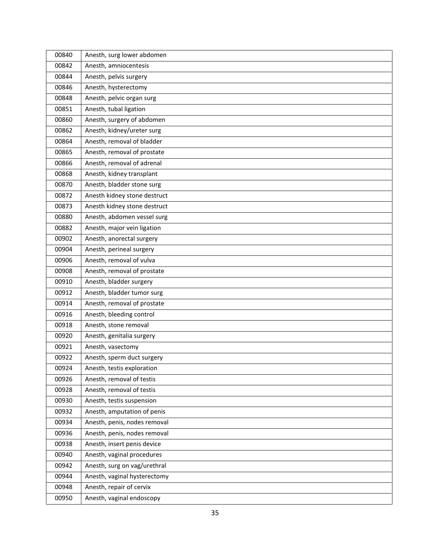| 00840 | Anesth, surg lower abdomen   |
|-------|------------------------------|
| 00842 | Anesth, amniocentesis        |
| 00844 | Anesth, pelvis surgery       |
| 00846 | Anesth, hysterectomy         |
| 00848 | Anesth, pelvic organ surg    |
| 00851 | Anesth, tubal ligation       |
| 00860 | Anesth, surgery of abdomen   |
| 00862 | Anesth, kidney/ureter surg   |
| 00864 | Anesth, removal of bladder   |
| 00865 | Anesth, removal of prostate  |
| 00866 | Anesth, removal of adrenal   |
| 00868 | Anesth, kidney transplant    |
| 00870 | Anesth, bladder stone surg   |
| 00872 | Anesth kidney stone destruct |
| 00873 | Anesth kidney stone destruct |
| 00880 | Anesth, abdomen vessel surg  |
| 00882 | Anesth, major vein ligation  |
| 00902 | Anesth, anorectal surgery    |
| 00904 | Anesth, perineal surgery     |
| 00906 | Anesth, removal of vulva     |
| 00908 | Anesth, removal of prostate  |
| 00910 | Anesth, bladder surgery      |
| 00912 | Anesth, bladder tumor surg   |
| 00914 | Anesth, removal of prostate  |
| 00916 | Anesth, bleeding control     |
| 00918 | Anesth, stone removal        |
| 00920 | Anesth, genitalia surgery    |
| 00921 | Anesth, vasectomy            |
| 00922 | Anesth, sperm duct surgery   |
| 00924 | Anesth, testis exploration   |
| 00926 | Anesth, removal of testis    |
| 00928 | Anesth, removal of testis    |
| 00930 | Anesth, testis suspension    |
| 00932 | Anesth, amputation of penis  |
| 00934 | Anesth, penis, nodes removal |
| 00936 | Anesth, penis, nodes removal |
| 00938 | Anesth, insert penis device  |
| 00940 | Anesth, vaginal procedures   |
| 00942 | Anesth, surg on vag/urethral |
| 00944 | Anesth, vaginal hysterectomy |
| 00948 | Anesth, repair of cervix     |
| 00950 | Anesth, vaginal endoscopy    |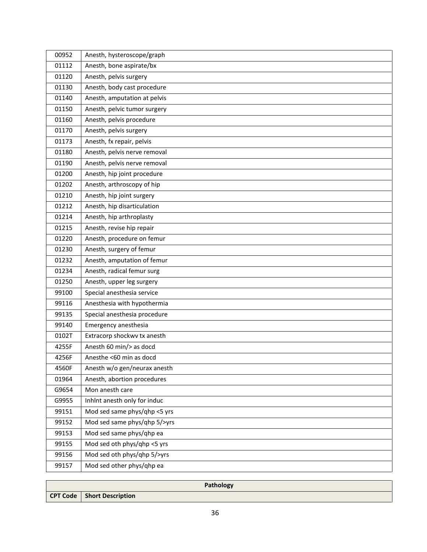| 00952 | Anesth, hysteroscope/graph   |
|-------|------------------------------|
| 01112 | Anesth, bone aspirate/bx     |
| 01120 | Anesth, pelvis surgery       |
| 01130 | Anesth, body cast procedure  |
| 01140 | Anesth, amputation at pelvis |
| 01150 | Anesth, pelvic tumor surgery |
| 01160 | Anesth, pelvis procedure     |
| 01170 | Anesth, pelvis surgery       |
| 01173 | Anesth, fx repair, pelvis    |
| 01180 | Anesth, pelvis nerve removal |
| 01190 | Anesth, pelvis nerve removal |
| 01200 | Anesth, hip joint procedure  |
| 01202 | Anesth, arthroscopy of hip   |
| 01210 | Anesth, hip joint surgery    |
| 01212 | Anesth, hip disarticulation  |
| 01214 | Anesth, hip arthroplasty     |
| 01215 | Anesth, revise hip repair    |
| 01220 | Anesth, procedure on femur   |
| 01230 | Anesth, surgery of femur     |
| 01232 | Anesth, amputation of femur  |
| 01234 | Anesth, radical femur surg   |
| 01250 | Anesth, upper leg surgery    |
| 99100 | Special anesthesia service   |
| 99116 | Anesthesia with hypothermia  |
| 99135 | Special anesthesia procedure |
| 99140 | Emergency anesthesia         |
| 0102T | Extracorp shockwv tx anesth  |
| 4255F | Anesth 60 min/> as docd      |
| 4256F | Anesthe <60 min as docd      |
| 4560F | Anesth w/o gen/neurax anesth |
| 01964 | Anesth, abortion procedures  |
| G9654 | Mon anesth care              |
| G9955 | Inhint anesth only for induc |
| 99151 | Mod sed same phys/qhp <5 yrs |
| 99152 | Mod sed same phys/qhp 5/>yrs |
| 99153 | Mod sed same phys/qhp ea     |
| 99155 | Mod sed oth phys/qhp <5 yrs  |
| 99156 | Mod sed oth phys/qhp 5/>yrs  |
| 99157 | Mod sed other phys/qhp ea    |

| Pathology                           |
|-------------------------------------|
| <b>CPT Code</b>   Short Description |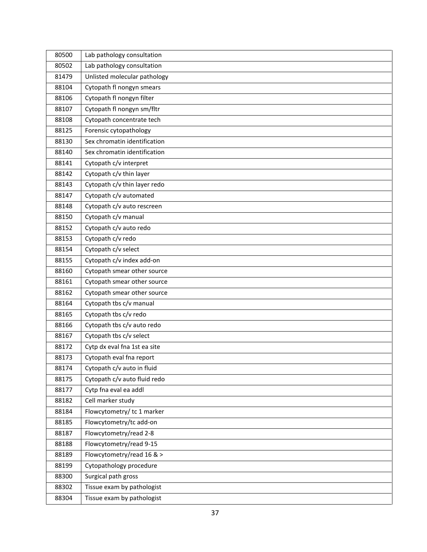| 80500 | Lab pathology consultation   |
|-------|------------------------------|
| 80502 | Lab pathology consultation   |
| 81479 | Unlisted molecular pathology |
| 88104 | Cytopath fl nongyn smears    |
| 88106 | Cytopath fl nongyn filter    |
| 88107 | Cytopath fl nongyn sm/fltr   |
| 88108 | Cytopath concentrate tech    |
| 88125 | Forensic cytopathology       |
| 88130 | Sex chromatin identification |
| 88140 | Sex chromatin identification |
| 88141 | Cytopath c/v interpret       |
| 88142 | Cytopath c/v thin layer      |
| 88143 | Cytopath c/v thin layer redo |
| 88147 | Cytopath c/v automated       |
| 88148 | Cytopath c/v auto rescreen   |
| 88150 | Cytopath c/v manual          |
| 88152 | Cytopath c/v auto redo       |
| 88153 | Cytopath c/v redo            |
| 88154 | Cytopath c/v select          |
| 88155 | Cytopath c/v index add-on    |
| 88160 | Cytopath smear other source  |
| 88161 | Cytopath smear other source  |
| 88162 | Cytopath smear other source  |
| 88164 | Cytopath tbs c/v manual      |
| 88165 | Cytopath tbs c/v redo        |
| 88166 | Cytopath tbs c/v auto redo   |
| 88167 | Cytopath tbs c/v select      |
| 88172 | Cytp dx eval fna 1st ea site |
| 88173 | Cytopath eval fna report     |
| 88174 | Cytopath c/v auto in fluid   |
| 88175 | Cytopath c/v auto fluid redo |
| 88177 | Cytp fna eval ea addl        |
| 88182 | Cell marker study            |
| 88184 | Flowcytometry/tc 1 marker    |
| 88185 | Flowcytometry/tc add-on      |
| 88187 | Flowcytometry/read 2-8       |
| 88188 | Flowcytometry/read 9-15      |
| 88189 | Flowcytometry/read 16 & >    |
| 88199 | Cytopathology procedure      |
| 88300 | Surgical path gross          |
| 88302 | Tissue exam by pathologist   |
| 88304 | Tissue exam by pathologist   |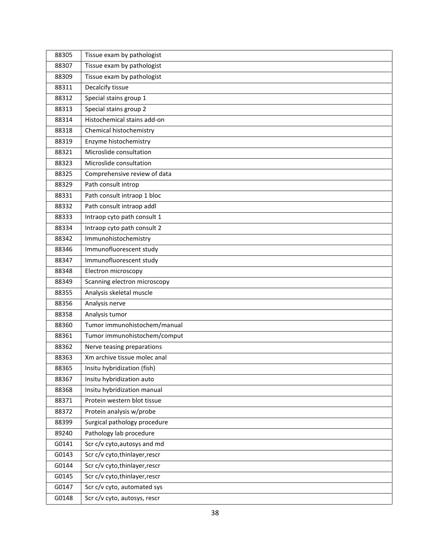| 88305 | Tissue exam by pathologist     |
|-------|--------------------------------|
| 88307 | Tissue exam by pathologist     |
| 88309 | Tissue exam by pathologist     |
| 88311 | Decalcify tissue               |
| 88312 | Special stains group 1         |
| 88313 | Special stains group 2         |
| 88314 | Histochemical stains add-on    |
| 88318 | Chemical histochemistry        |
| 88319 | Enzyme histochemistry          |
| 88321 | Microslide consultation        |
| 88323 | Microslide consultation        |
| 88325 | Comprehensive review of data   |
| 88329 | Path consult introp            |
| 88331 | Path consult intraop 1 bloc    |
| 88332 | Path consult intraop addl      |
| 88333 | Intraop cyto path consult 1    |
| 88334 | Intraop cyto path consult 2    |
| 88342 | Immunohistochemistry           |
| 88346 | Immunofluorescent study        |
| 88347 | Immunofluorescent study        |
| 88348 | Electron microscopy            |
| 88349 | Scanning electron microscopy   |
| 88355 | Analysis skeletal muscle       |
| 88356 | Analysis nerve                 |
| 88358 | Analysis tumor                 |
| 88360 | Tumor immunohistochem/manual   |
| 88361 | Tumor immunohistochem/comput   |
| 88362 | Nerve teasing preparations     |
| 88363 | Xm archive tissue molec anal   |
| 88365 | Insitu hybridization (fish)    |
| 88367 | Insitu hybridization auto      |
| 88368 | Insitu hybridization manual    |
| 88371 | Protein western blot tissue    |
| 88372 | Protein analysis w/probe       |
| 88399 | Surgical pathology procedure   |
| 89240 | Pathology lab procedure        |
| G0141 | Scr c/v cyto, autosys and md   |
| G0143 | Scr c/v cyto, thinlayer, rescr |
| G0144 | Scr c/v cyto, thinlayer, rescr |
| G0145 | Scr c/v cyto, thinlayer, rescr |
| G0147 | Scr c/v cyto, automated sys    |
| G0148 | Scr c/v cyto, autosys, rescr   |